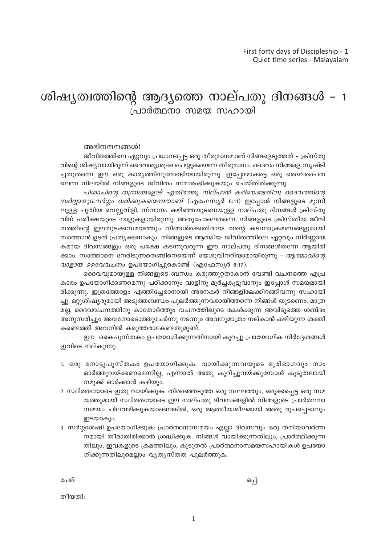# ശിഷ്യത്വത്തിന്റെ ആദ്യത്തെ നാല്പതു ദിനങ്ങൾ - 1 പ്രാർത്ഥനാ സമയ സഹായി

#### അഭിനന്ദനങ്ങൾ!

ജീവിതത്തിലെ ഏറ്റവും പ്രധാനപ്പെട്ട ഒരു തീരുമാനമാണ് നിങ്ങളെടുത്തത് – ക്രിസ്തു വിന്റെ ശിഷ്യനായിരുന്ന് ദൈവശുശ്രൂഷ ചെയ്യുകയെന്ന തീരുമാനം. ദൈവം നിങ്ങളെ സൃഷ്ടി ച്ചതുതന്നെ ഈ ഒരു കാര്യത്തിനുവേണ്ടിയായിരുന്നു. ഇപ്പോഴാകട്ടെ ഒരു ദൈവപൈത ലെന്ന നിലയിൽ നിങ്ങളുടെ ജീവിതം സമാരംഭിക്കുകയും ചെയ്തിരിക്കുന്നു.

പിശാചിന്റെ തന്ത്രങ്ങളോട് എതിർത്തു നില്പാൻ കഴിയേണ്ടതിനു ദൈവത്തിന്റെ  $m$ ർവ്വായുധവർഗ്ഗം ധരിക്കുകയെന്നതാണ് (എഫേസ്യർ 6:11) ഇപ്പോൾ നിങ്ങളുടെ മുന്നി ലുള്ള പുതിയ വെല്ലുവിളി. സ്നാനം കഴിഞ്ഞയുടനെയുള്ള നാല്പതു ദിനങ്ങൾ ക്രിസ്തു വിന് പരീക്ഷയുടെ നാളുകളായിരുന്നു. അതുപോലെതന്നെ, നിങ്ങളുടെ ക്രിസ്തീയ ജീവി തത്തിന്റെ ഈതുടക്കസമയത്തും നിങ്ങൾക്കെതിരായ തന്റെ കടന്നാക്രമണങ്ങളുമായി സാത്താൻ ഉടൻ പ്രത്യക്ഷനാകും. നിങ്ങളുടെ ആത്മീയ ജീവിതത്തിലെ ഏറ്റവും നിർണ്ണായ കമായ ദിവസങ്ങളും ഒരു പക്ഷേ കടന്നുവരുന്ന ഈ നാല്പതു ദിനങ്ങൾതന്നേ ആയിരി ക്കാം. സാത്താനെ നേരിടുന്നതെങ്ങിനെയെന്ന് യേശുവിനറിയാമായിരുന്നു *– ആത്മാവിന്റെ* വാളായ ദൈവവചനം ഉപയോഗിച്ചുകൊണ്ട് (എഫേസ്യർ 6:17).

ദൈവവുമായുള്ള നിങ്ങളുടെ ബന്ധം കരുത്തുറ്റതാകാൻ വേണ്ടി വചനത്തെ എപ്ര കാരം ഉപയോഗിക്കണമെന്നു പഠിക്കാനും വാളിനു മൂർച്ചകൂട്ടുവാനും ഇപ്പോൾ സമയമായി രിക്കുന്നു. ഇത്രത്തോളം എത്തിച്ചേരാനായി അനേകർ നിങ്ങളിലേക്കിറങ്ങിവന്നു സഹായി ച്ചു. മറ്റുശിഷ്യരുമായി അടുത്തബന്ധം പൂലർത്തുന്നവരായിത്തന്നെ നിങ്ങൾ തുടരണം. മാത്ര മല്ല, ദൈവവചനത്തിനു കാതോർത്തും വചനത്തിലുടെ കേൾക്കുന്ന അവിടുത്തെ ശബ്ദം അനുസരിച്ചും അവനോടൊത്തുചേർന്നു നടന്നും അവനുമാത്രം നല്കാൻ കഴിയുന്ന ശക്തി കണ്ടെത്തി അവനിൽ കരുത്തരാകേണ്ടതുമുണ്ട്.

ഈ കൈപുസ്തകം ഉപയോഗിക്കുന്നതിനായി കുറച്ചു പ്രായോഗിക നിർദ്ദേശങ്ങൾ ഇവിടെ നല്കുന്നു:

- 1. ഒരു നോട്ടുപുസ്തകം ഉപയോഗിക്കുക: വായിക്കുന്നവയുടെ ഭൂരിഭാഗവും നാം ഓർത്തുവയ്ക്കണമെന്നില്ല, എന്നാൽ അതു കുറിച്ചുവയ്ക്കുമ്പോൾ കൂടുതലായി നമുക്ക് ഓർക്കാൻ കഴിയും.
- 2. സ്ഥിരതയോടെ ഇതു വായിക്കുക: തിരഞ്ഞെടുത്ത ഒരു സ്ഥലത്തും, ഒരുക്കപ്പെട്ട ഒരു സമ യത്തുമായി സ്ഥിരതയോടെ ഈ നാല്പതു ദിവസങ്ങളിൽ നിങ്ങളുടെ പ്രാർത്ഥനാ സമയം ചിലവഴിക്കുകയാണെങ്കിൽ, ഒരു ആത്മീയശീലമായി അതു രൂപപ്പെടാനും ഇടയാകും.
- 3. സർഗ്ഗശേഷി ഉപയോഗിക്കുക: പ്രാർത്ഥനാസമയം എല്ലാ ദിവസവും ഒരു തനിയാവർത്ത നമായി തീരാതിരിക്കാൻ ശ്രദ്ധിക്കുക. നിങ്ങൾ വായിക്കുന്നതിലും, പ്രാർത്ഥിക്കുന്ന തിലും, ഇവകളുടെ ക്രമത്തിലും, കൂടുതൽ പ്രാർത്ഥനാസമയസഹായികൾ ഉപയോ ഗിക്കുന്നതിലുമെല്ലാം വ്യത്യസ്തത പുലർത്തുക.

പേര്:

ഒപ്പ്:

തീയതി: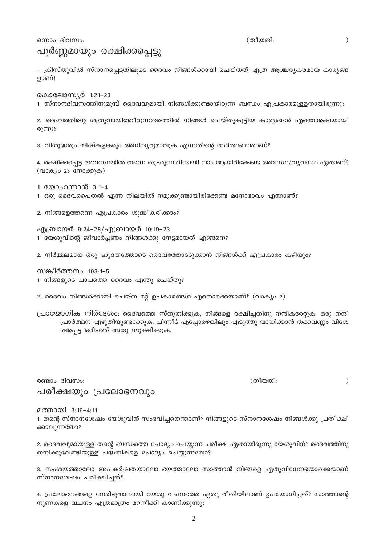ഒന്നാം ദിവസം:

പൂർണ്ണമായും രക്ഷിക്കപ്പെട്ടു

– ക്രിസ്തുവിൽ സ്നാനപ്പെട്ടതിലൂടെ ദൈവം നിങ്ങൾക്കായി ചെയ്തത് എത്ര ആശ്ചര്യകരമായ കാര്യങ്ങ ളാണ്!

കൊലോസ്യർ 1:21-23

1. സ്നാനദിവസത്തിനുമുമ്പ് ദൈവവുമായി നിങ്ങൾക്കുണ്ടായിരുന്ന ബന്ധം എപ്രകാരമുള്ളതായിരുന്നു?

2. ദൈവത്തിന്റെ ശത്രുവായിത്തീരുന്നതരത്തിൽ നിങ്ങൾ ചെയ്തുകൂട്ടിയ കാര്യങ്ങൾ എന്തൊക്കെയായി രുന്നു?

3. വിശുദ്ധരും നിഷ്കളങ്കരും അനിന്ദ്യരുമാവുക എന്നതിന്റെ അർത്ഥമെന്താണ്?

4. രക്ഷിക്കപ്പെട്ട അവസ്ഥയിൽ തന്നെ തുടരുന്നതിനായി നാം ആയിരിക്കേണ്ട അവസ്ഥ/വ്യവസ്ഥ ഏതാണ്? (വാക്യം 23 നോക്കുക)

1 യോഹന്നാൻ 3:1-4

1. ഒരു ദൈവപൈതൽ എന്ന നിലയിൽ നമുക്കുണ്ടായിരിക്കേണ്ട മനോഭാവം എന്താണ്?

2. നിങ്ങളെത്തന്നെ എപ്രകാരം ശുദ്ധീകരിക്കാം?

എബ്രായർ 9:24-28/എബ്രായർ 10:19-23 1. യേശുവിന്റെ ജീവാർപ്പണം നിങ്ങൾക്കു നേട്ടമായത് എങ്ങനെ?

2. നിർമ്മലമായ ഒരു ഹൃദയത്തോടെ ദൈവത്തോടടുക്കാൻ നിങ്ങൾക്ക് എപ്രകാരം കഴിയും?

സങ്കീർത്തനം 103:1–5 1. നിങ്ങളുടെ പാപത്തെ ദൈവം എന്തു ചെയ്തു?

2. ദൈവം നിങ്ങൾക്കായി ചെയ്ത മറ്റ് ഉപകാരങ്ങൾ എതൊക്കെയാണ്? (വാക്യം 2)

പ്രായോഗിക നിർദ്ദേശം: ദൈവത്തെ സ്തുതിക്കുക, നിങ്ങളെ രക്ഷിച്ചതിനു നന്ദികരേറ്റുക. ഒരു നന്ദി പ്രാർത്ഥന എഴുതിയുണ്ടാക്കുക. പിന്നീട് എപ്പോഴെങ്കിലും എടുത്തു വായിക്കാൻ തക്കവണ്ണം വിശേ ഷപ്പെട്ട ഒരിടത്ത് അതു സൂക്ഷിക്കുക.

രണ്ടാം ദിവസം:

(തീയതി:

 $\left( \right)$ 

മത്തായി 3:16-4:11

പരീക്ഷയും പ്രലോഭനവും

1. തന്റെ സ്നാനശേഷം യേശുവിന് സംഭവിച്ചതെന്താണ്? നിങ്ങളുടെ സ്നാനശേഷം നിങ്ങൾക്കു പ്രതീക്ഷി ക്കാവുന്നതോ?

2. ദൈവവുമായുള്ള തന്റെ ബന്ധത്തെ ചോദ്യം ചെയ്യുന്ന പരീക്ഷ ഏതായിരുന്നു യേശുവിന്? ദൈവത്തിനു തനിക്കുവേണ്ടിയുള്ള പദ്ധതികളെ ചോദ്യം ചെയ്യുന്നതോ?

3. സംശയത്താലോ അപകർഷതയാലോ ഭയത്താലോ സാത്താൻ നിങ്ങളെ ഏതുവിധേനയൊക്കെയാണ് സ്നാനശേഷം പരീക്ഷിച്ചത്?

4. പ്രലോഭനങ്ങളെ നേരിടുവാനായി യേശു വചനത്തെ ഏതു രീതിയിലാണ് ഉപയോഗിച്ചത്? സാത്താന്റെ നുണകളെ വചനം എത്രമാത്രം മറനീക്കി കാണിക്കുന്നു?

(തീയതി: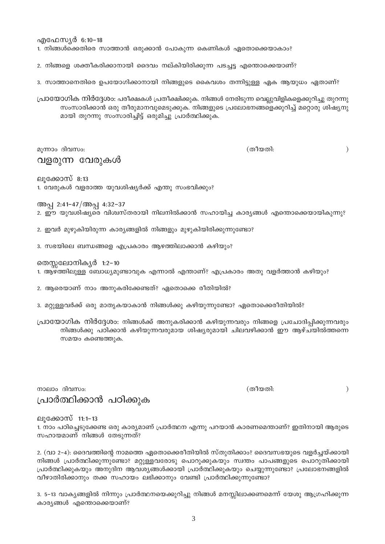എഫേസ്യർ 6:10-18

1. നിങ്ങൾക്കെതിരെ സാത്താൻ ഒരുക്കാൻ പോകുന്ന കെണികൾ ഏതൊക്കെയാകാം?

2. നിങ്ങളെ ശക്തീകരിക്കാനായി ദൈവം നല്കിയിരിക്കുന്ന പടച്ചട്ട എന്തൊക്കെയാണ്?

3. സാത്താനെതിരെ ഉപയോഗിക്കാനായി നിങ്ങളുടെ കൈവശം തന്നിട്ടുള്ള ഏക ആയുധം ഏതാണ്?

പ്രായോഗിക നിർദ്ദേശം: പരീക്ഷകൾ പ്രതീക്ഷിക്കുക. നിങ്ങൾ നേരിടുന്ന വെല്ലുവിളികളെക്കുറിച്ചു തുറന്നു സംസാരിക്കാൻ ഒരു തീരുമാനവുമെടുക്കുക. നിങ്ങളുടെ പ്രലോഭനങ്ങളെക്കുറിച്ച് മറ്റൊരു ശിഷ്യനു മായി തുറന്നു സംസാരിച്ചിട്ട് ഒരുമിച്ചു പ്രാർത്ഥിക്കുക.

മൂന്നാം ദിവസം: വളരുന്ന വേരുകൾ

(തീയതി:

 $\big)$ 

ലുക്കോസ് 8:13

1. വേരുകൾ വളരാത്ത യുവശിഷ്യർക്ക് എന്തു സംഭവിക്കും?

അപ്പ 2:41-47/അപ്പ 4:32-37 2. ഈ യുവശിഷ്യരെ വിശ്വസ്തരായി നിലനിൽക്കാൻ സഹായിച്ച കാര്യങ്ങൾ എന്തൊക്കെയായികുന്നു?

2. ഇവർ മുഴുകിയിരുന്ന കാര്യങ്ങളിൽ നിങ്ങളും മുഴുകിയിരിക്കുന്നുണ്ടോ?

3. സഭയിലെ ബന്ധങ്ങളെ എപ്രകാരം ആഴത്തിലാക്കാൻ കഴിയും?

തെസ്സലോനികൃർ 1:2-10

1. ആഴത്തിലുള്ള ബോധ്യമുണ്ടാവുക എന്നാൽ എന്താണ്? എപ്രകാരം അതു വളർത്താൻ കഴിയും?

2. ആരെയാണ് നാം അനുകരിക്കേണ്ടത്? ഏതൊക്കെ രീതിയിൽ?

3. മറ്റുള്ളവർക്ക് ഒരു മാതൃകയാകാൻ നിങ്ങൾക്കു കഴിയുന്നുണ്ടോ? ഏതൊക്കെരീതിയിൽ?

പ്രായോഗിക നിർദ്ദേശം: നിങ്ങൾക്ക് അനുകരിക്കാൻ കഴിയുന്നവരും നിങ്ങളെ പ്രചോദിപ്പിക്കുന്നവരും നിങ്ങൾക്കു പഠിക്കാൻ കഴിയുന്നവരുമായ ശിഷ്യരുമായി ചിലവഴിക്കാൻ ഈ ആഴ്ചയിൽത്തന്നെ സമയം കണ്ടെത്തുക.

നാലാം ദിവസം: പ്രാർത്ഥിക്കാൻ പഠിക്കുക (തീയതി:

 $\mathcal{E}$ 

ലുക്കോസ് 11:1–13

1. നാം പഠിച്ചെടുക്കേണ്ട ഒരു കാര്യമാണ് പ്രാർത്ഥന എന്നു പറയാൻ കാരണമെന്താണ്? ഇതിനായി ആരുടെ സഹായമാണ് നിങ്ങൾ തേടുന്നത്?

2. (വാ 2–4): ദൈവത്തിന്റെ നാമത്തെ ഏതൊക്കെരീതിയിൽ സ്തുതിക്കാം? ദൈവസഭയുടെ വളർച്ചയ്ക്കായി നിങ്ങൾ പ്രാർത്ഥിക്കുന്നുണ്ടോ? മറ്റുള്ളവരോടു പൊറുക്കുകയും സ്വന്തം പാപങ്ങളുടെ പൊറുതിക്കായി പ്രാർത്ഥിക്കുകയും അനുദിന ആവശ്യങ്ങൾക്കായി പ്രാർത്ഥിക്കുകയും ചെയ്യുന്നുണ്ടോ? പ്രലോഭനങ്ങളിൽ വീഴാതിരിക്കാനും തക്ക സഹായം ലഭിക്കാനും വേണ്ടി പ്രാർത്ഥിക്കുന്നുണ്ടോ?

3. 5–13 വാക്യങ്ങളിൽ നിന്നും പ്രാർത്ഥനയെക്കുറിച്ചു നിങ്ങൾ മനസ്സിലാക്കണമെന്ന് യേശു ആഗ്രഹിക്കുന്ന കാര്യങ്ങൾ എന്തൊക്കെയാണ്?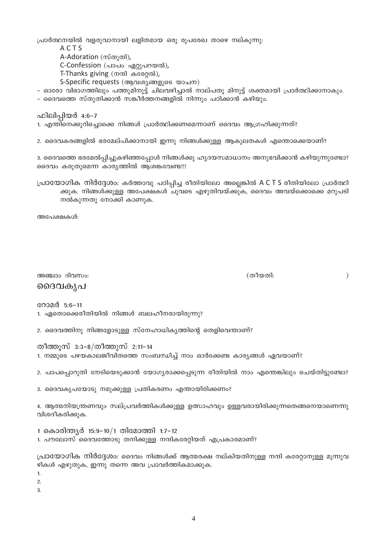പ്രാർത്ഥനയിൽ വളരുവാനായി ലളിതമായ ഒരു രൂപരേഖ താഴെ നല്കുന്നു:

- ACTS
- A-Adoration (സ്തുതി),

C-Confession (പാപം ഏറ്റുപറയൽ),

T-Thanks giving (നന്ദി കരേറ്റൽ),

S-Specific requests (ആവശ്യങ്ങളുടെ യാചന)

– ഓരോ വിഭാഗത്തിലും പത്തുമിനുട്ട് ചിലവഴിച്ചാൽ നാല്പതു മിനുട്ട് ശക്തമായി പ്രാർത്ഥിക്കാനാകും.

– ദൈവത്തെ സ്തുതിക്കാൻ സങ്കീർത്തനങ്ങളിൽ നിന്നും പഠിക്കാൻ കഴിയും.

ഫിലിപ്പിയർ 4:6-7

- 1. എന്തിനെക്കുറിച്ചൊക്കെ നിങ്ങൾ പ്രാർത്ഥിക്കണമെന്നാണ് ദൈവം ആഗ്രഹിക്കുന്നത്?
- 2. ദൈവകരങ്ങളിൽ ഭരമേല്പിക്കാനായി ഇന്നു നിങ്ങൾക്കുള്ള ആകുലതകൾ എന്തൊക്കെയാണ്?

3. ദൈവത്തെ ഭരമേൽപ്പിച്ചുകഴിഞ്ഞപ്പോൾ നിങ്ങൾക്കു ഹൃദയസമാധാനം അനുഭവിക്കാൻ കഴിയുന്നുണ്ടോ? ദൈവം കരുതുമെന്ന കാര്യത്തിൽ ആശങ്കവേണ്ട!!!

പ്രായോഗിക നിർദ്ദേശം: കർത്താവു പഠിപ്പിച്ച രീതിയിലോ അല്ലെങ്കിൽ A C T S രീതിയിലോ പ്രാർത്ഥി ക്കുക. നിങ്ങൾക്കുള്ള അപേക്ഷകൾ ചുവടെ എഴുതിവയ്ക്കുക, ദൈവം അവയ്ക്കൊക്കെ മറുപടി നൽകുന്നതു നോക്കി കാണുക.

അപേക്ഷകൾ:

അഞ്ചാം ദിവസം: ദൈവകൃപ

(തീയതി:

 $\mathcal{E}$ 

റോമർ 5:6-11

- 1. ഏതൊക്കെരീതിയിൽ നിങ്ങൾ ബലഹീനരായിരുന്നു?
- 2. ദൈവത്തിനു നിങ്ങളോടുള്ള സ്നേഹാധികൃത്തിന്റെ തെളിവെന്താണ്?

തീത്തുസ് 3:3–8/തീത്തുസ് 2:11–14 1. നമ്മുടെ പഴയകാലജീവിതത്തെ സംബന്ധിച്ച് നാം ഓർക്കേണ്ട കാര്യങ്ങൾ ഏവയാണ്?

2. പാപപ്പൊറുതി നേടിയെടുക്കാൻ യോഗ്യരാക്കപ്പെടുന്ന രീതിയിൽ നാം എന്തെങ്കിലും ചെയ്തിട്ടുണ്ടോ?

3. ദൈവകൃപയോടു നമുക്കുള്ള പ്രതികരണം എന്തായിരിക്കണം?

4. ആത്മനിയന്ത്രണവും സല്പ്രവർത്തികൾക്കുള്ള ഉത്സാഹവും ഉള്ളവരായിരിക്കുന്നതെങ്ങനെയാണെന്നു വിശദീകരിക്കുക.

1 കൊരിന്ത്യർ 15:9-10/1 തിമോത്തി 1:7-12

1. പൗലോസ് ദൈവത്തോടു തനിക്കുള്ള നന്ദികരേറ്റിയത് എപ്രകാരമാണ്?

പ്രായോഗിക നിർദ്ദേശം: ദൈവം നിങ്ങൾക്ക് ആത്മരക്ഷ നല്കിയതിനുള്ള നന്ദി കരോറനുള്ള മുന്നുവ ഴികൾ എഴുതുക, ഇന്നു തന്നെ അവ പ്രാവർത്തികമാക്കുക.

 $\mathbf{1}$ 

 $\overline{2}$ .

 $\overline{3}$ .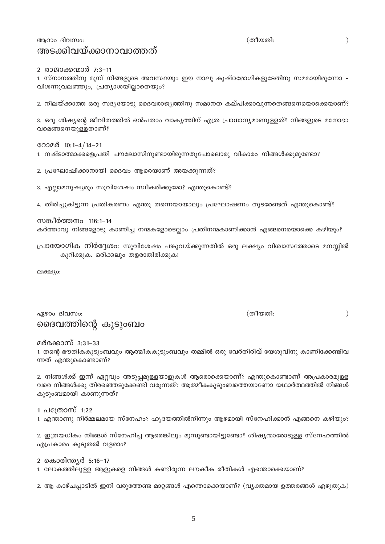ആറാം ദിവസം: അടക്കിവയ്ക്കാനാവാത്തത്

2 രാജാക്കന്മാർ 7:3-11

1. സ്നാനത്തിനു മുമ്പ് നിങ്ങളുടെ അവസ്ഥയും ഈ നാലു കുഷ്ഠരോഗികളുടേതിനു സമമായിരുന്നോ – വിശന്നുവലഞ്ഞും, പ്രത്യാശയില്ലാതെയും?

2. നിലയ്ക്കാത്ത ഒരു സദ്യയോടു ദൈവരാജ്യത്തിനു സമാനത കല്പിക്കാവുന്നതെങ്ങനെയൊക്കെയാണ്?

3. ഒരു ശിഷ്യന്റെ ജീവിതത്തിൽ ഒൻപതാം വാകൃത്തിന് എത്ര പ്രാധാനൃമാണുള്ളത്? നിങ്ങളുടെ മനോഭാ വമെങ്ങനെയുള്ളതാണ്?

റോമർ 10:1-4/14-21

1. നഷ്ടാത്മാക്കളെപ്രതി പൗലോസിനുണ്ടായിരുന്നതുപോലൊരു വികാരം നിങ്ങൾക്കുമുണ്ടോ?

2. പ്രഘോഷിക്കാനായി ദൈവം ആരെയാണ് അയക്കുന്നത്?

3. എല്ലാമനുഷ്യരും സുവിശേഷം സ്വീകരിക്കുമോ? എന്തുകൊണ്ട്?

4. തിരിച്ചുകിട്ടുന്ന പ്രതികരണം എന്തു തന്നെയായാലും പ്രഘോഷണം തുടരേണ്ടത് എന്തുകൊണ്ട്?

സങ്കീർത്തനം 116:1–14 കർത്താവു നിങ്ങളോടു കാണിച്ച നന്മകളോടെല്ലാം പ്രതിനന്മകാണിക്കാൻ എങ്ങനെയൊക്കെ കഴിയും?

പ്രായോഗിക നിർദ്ദേശം: സുവിശേഷം പങ്കുവയ്ക്കുന്നതിൽ ഒരു ലക്ഷ്യം വിശ്വാസത്തോടെ മനസ്സിൽ കുറിക്കുക. ഒരിക്കലും തളരാതിരിക്കുക!

ലക്ഷ്യം:

ഏഴാം ദിവസം: ദൈവത്തിന്റെ കുടുംബം

മർക്കോസ് 3:31–33

1. തന്റെ ഭൗതികകൂടുംബവും ആത്മീകകൂടുംബവും തമ്മിൽ ഒരു വേർതിരിവ് യേശുവിനു കാണിക്കേണ്ടിവ ന്നത് എന്തുകൊണ്ടാണ്?

2. നിങ്ങൾക്ക് ഇന്ന് ഏറ്റവും അടുപ്പമുള്ളയാളുകൾ ആരൊക്കെയാണ്? എന്തുകൊണ്ടാണ് അപ്രകാരമുള്ള വരെ നിങ്ങൾക്കു തിരഞ്ഞെടുക്കേണ്ടി വരുന്നത്? ആത്മീകകുടുംബത്തെയാണോ യഥാർത്ഥത്തിൽ നിങ്ങൾ കുടുംബമായി കാണുന്നത്?

1 പത്രോസ് 1:22

1. എന്താണു നിർമ്മലമായ സ്നേഹം? ഹൃദയത്തിൽനിന്നും ആഴമായി സ്നേഹിക്കാൻ എങ്ങനെ കഴിയും?

2. ഇത്രയധികം നിങ്ങൾ സ്നേഹിച്ച ആരെങ്കിലും മുമ്പുണ്ടായിട്ടുണ്ടോ? ശിഷ്യന്മാരോടുള്ള സ്നേഹത്തിൽ എപ്രകാരം കുടുതൽ വളരാം?

2 കൊരിന്ത്യർ 5:16–17 1. ലോകത്തിലുള്ള ആളുകളെ നിങ്ങൾ കണ്ടിരുന്ന ലൗകീക രീതികൾ എന്തൊക്കെയാണ്?

2. ആ കാഴ്ചപ്പാടിൽ ഇനി വരുത്തേണ്ട മാറ്റങ്ങൾ എന്തൊക്കെയാണ്? (വ്യക്തമായ ഉത്തരങ്ങൾ എഴുതുക)

5

(തീയതി:

 $\mathcal{E}$ 

(തീയതി:

 $\lambda$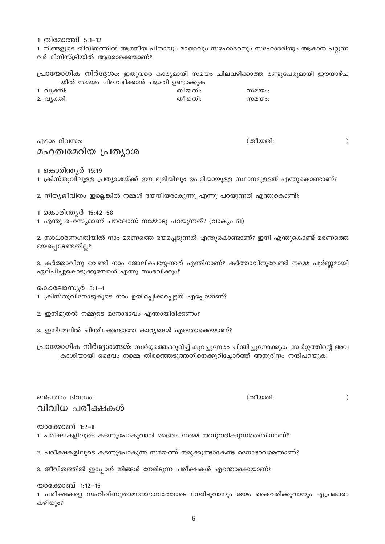1 തിമോത്തി 5:1-12

1. നിങ്ങളുടെ ജീവിതത്തിൽ ആത്മീയ പിതാവും മാതാവും സഹോദരനും സഹോദരിയും ആകാൻ പറ്റുന്ന വർ മിനിസ്ട്രിയിൽ ആരൊക്കെയാണ്?

പ്രായോഗിക നിർദ്ദേശം: ഇതുവരെ കാര്യമായി സമയം ചിലവഴിക്കാത്ത രണ്ടുപേരുമായി ഈയാഴ്ച യിൽ സമയം ചിലവഴിക്കാൻ പദ്ധതി ഉണ്ടാക്കുക.

| 1. വ്യക്തി: | തീയതി: | സമയം: |
|-------------|--------|-------|
| 2. വ്യക്തി: | തീയതി: | സമയം: |

## എട്ടാം ദിവസം: മഹത്വമേറിയ പ്രത്യാശ

1 കൊരിന്ത്യർ 15:19

1. ക്രിസ്തുവിലുള്ള പ്രത്യാശയ്ക്ക് ഈ ഭൂമിയിലും ഉപരിയായുള്ള സ്ഥാനമുള്ളത് എന്തുകൊണ്ടാണ്?

2. നിത്യജീവിതം ഇല്ലെങ്കിൽ നമ്മൾ ദയനീയരാകുന്നു എന്നു പറയുന്നത് എന്തുകൊണ്ട്?

1 കൊരിന്ത്യർ 15:42-58

1. എന്തു രഹസ്യമാണ് പൗലോസ് നമ്മോടു പറയുന്നത്? (വാക്യം 51)

2. സാധാരണഗതിയിൽ നാം മരണത്തെ ഭയപ്പെടുന്നത് എന്തുകൊണ്ടാണ്? ഇനി എന്തുകൊണ്ട് മരണത്തെ ഭയപ്പെടേണ്ടതില്ല?

3. കർത്താവിനു വേണ്ടി നാം ജോലിചെയ്യേണ്ടത് എന്തിനാണ്? കർത്താവിനുവേണ്ടി നമ്മെ പൂർണ്ണമായി ഏല്പിച്ചുകൊടുക്കുമ്പോൾ എന്തു സംഭവിക്കും?

കൊലോസ്യർ 3:1-4

1. ക്രിസ്തുവിനോടുകൂടെ നാം ഉയിർപ്പിക്കപ്പെട്ടത് എപ്പോഴാണ്?

2. ഇനിമുതൽ നമ്മുടെ മനോഭാവം എന്തായിരിക്കണം?

3. ഇനിമേലിൽ ചിന്തിക്കേണ്ടാത്ത കാര്യങ്ങൾ എന്തൊക്കെയാണ്?

പ്രായോഗിക നിർദ്ദേശങ്ങൾ: സ്വർഗ്ഗത്തെക്കുറിച്ച് കുറച്ചുനേരം ചിന്തിച്ചുനോക്കുക! സ്വർഗ്ഗത്തിന്റെ അവ കാശിയായി ദൈവം നമ്മെ തിരഞ്ഞെടുത്തതിനെക്കുറിച്ചോർത്ത് അനുദിനം നന്ദിപറയുക!

ഒൻപതാം ദിവസം: വിവിധ പരീക്ഷകൾ

യാക്കോബ് 1:2-8 1. പരീക്ഷകളിലൂടെ കടന്നുപോകുവാൻ ദൈവം നമ്മെ അനുവദിക്കുന്നതെന്തിനാണ്?

2. പരീക്ഷകളിലൂടെ കടന്നുപോകുന്ന സമയത്ത് നമുക്കുണ്ടാകേണ്ട മനോഭാവമെന്താണ്?

3. ജീവിതത്തിൽ ഇപ്പോൾ നിങ്ങൾ നേരിടുന്ന പരീക്ഷകൾ എന്തൊക്കെയാണ്?

യാക്കോബ് 1:12–15 1. പരീക്ഷകളെ സഹിഷ്ണുതാമനോഭാവത്തോടെ നേരിടുവാനും ജയം കൈവരിക്കുവാനും എപ്രകാരം കഴിയും?

 $\mathcal{L}$ 

(തീയതി:

 $\mathcal{E}$ 

(തീയതി: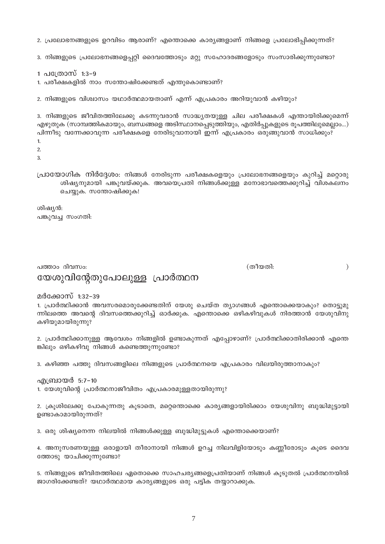2. പ്രലോഭനങ്ങളുടെ ഉറവിടം ആരാണ്? എന്തൊക്കെ കാര്യങ്ങളാണ് നിങ്ങളെ പ്രലോഭിപ്പിക്കുന്നത്?

3. നിങ്ങളുടെ പ്രലോഭനങ്ങളെപ്പറ്റി ദൈവത്തോടും മറ്റു സഹോദരങ്ങളോടും സംസാരിക്കുന്നുണ്ടോ?

1 പത്രോസ് 1:3-9

1. പരീക്ഷകളിൽ നാം സന്തോഷിക്കേണ്ടത് എന്തുകൊണ്ടാണ്?

2. നിങ്ങളുടെ വിശ്വാസം യഥാർത്ഥമായതാണ് എന്ന് എപ്രകാരം അറിയുവാൻ കഴിയും?

3. നിങ്ങളുടെ ജീവിതത്തിലേക്കു കടന്നുവരാൻ സാദ്ധ്യതയുള്ള ചില പരീക്ഷകൾ എന്തായിരിക്കുമെന്ന് എഴുതുക (സാമ്പത്തികമായും, ബന്ധങ്ങളെ അടിസ്ഥാനപ്പെടുത്തിയും, എതിർപ്പുകളുടെ രൂപത്തിലുമെല്ലാം...) പിന്നീടു വന്നേക്കാവുന്ന പരീക്ഷകളെ നേരിടുവാനായി ഇന്ന് എപ്രകാരം ഒരുങ്ങുവാൻ സാധിക്കും?  $\overline{1}$ .

 $\overline{2}$ 

 $\overline{a}$ 

പ്രായോഗിക നിർദ്ദേശം: നിങ്ങൾ നേരിടുന്ന പരീക്ഷകളെയും പ്രലോഭനങ്ങളെയും കുറിച്ച് മറ്റൊരു ശിഷ്യനുമായി പങ്കുവയ്ക്കുക. അവയെപ്രതി നിങ്ങൾക്കുള്ള മനോഭാവത്തെക്കുറിച്ച് വിശകലനം ചെയ്യുക. സന്തോഷിക്കുക!

ശിഷ്യൻ: പങ്കുവച്ച സംഗതി:

പത്താം ദിവസം: യേശുവിന്റേതുപോലുള്ള പ്രാർത്ഥന (തീയതി:

 $\mathcal{E}$ 

മർക്കോസ് 1:32-39

1. പ്രാർത്ഥിക്കാൻ അവസരമൊരുക്കേണ്ടതിന് യേശു ചെയ്ത ത്യാഗങ്ങൾ എന്തൊക്കെയാകും? തൊട്ടുമു ന്നിലത്തെ അവന്റെ ദിവസത്തെക്കുറിച്ച് ഓർക്കുക. എന്തൊക്കെ ഒഴികഴിവുകൾ നിരത്താൻ യേശുവിനു കഴിയുമായിരുന്നു?

2. പ്രാർത്ഥിക്കാനുള്ള ആവേശം നിങ്ങളിൽ ഉണ്ടാകുന്നത് എപ്പോഴാണ്? പ്രാർത്ഥിക്കാതിരിക്കാൻ എന്തെ ങ്കിലും ഒഴികഴിവു നിങ്ങൾ കണ്ടെത്തുന്നുണ്ടോ?

3. കഴിഞ്ഞ പത്തു ദിവസങ്ങളിലെ നിങ്ങളുടെ പ്രാർത്ഥനയെ എപ്രകാരം വിലയിരുത്താനാകും?

എബ്രായർ 5:7–10 1. യേശുവിന്റെ പ്രാർത്ഥനാജീവിതം എപ്രകാരമുള്ളതായിരുന്നു?

2. ക്രൂശിലേക്കു പോകുന്നതു കൂടാതെ, മറ്റെന്തൊക്കെ കാര്യങ്ങളായിരിക്കാം യേശുവിനു ബുദ്ധിമുട്ടായി ഉണ്ടാകാമായിരുന്നത്?

3. ഒരു ശിഷ്യനെന്ന നിലയിൽ നിങ്ങൾക്കുള്ള ബുദ്ധിമുട്ടുകൾ എന്തൊക്കെയാണ്?

4. അനുസരണയുള്ള ഒരാളായി തീരാനായി നിങ്ങൾ ഉറച്ച നിലവിളിയോടും കണ്ണീരോടും കൂടെ ദൈവ ത്തോടു യാചിക്കുന്നുണ്ടോ?

5. നിങ്ങളുടെ ജീവിതത്തിലെ ഏതൊക്കെ സാഹചര്യങ്ങളെപ്രതിയാണ് നിങ്ങൾ കുടുതൽ പ്രാർത്ഥനയിൽ ജാഗരിക്കേണ്ടത്? യഥാർത്ഥമായ കാര്യങ്ങളുടെ ഒരു പട്ടിക തയ്യാറാക്കുക.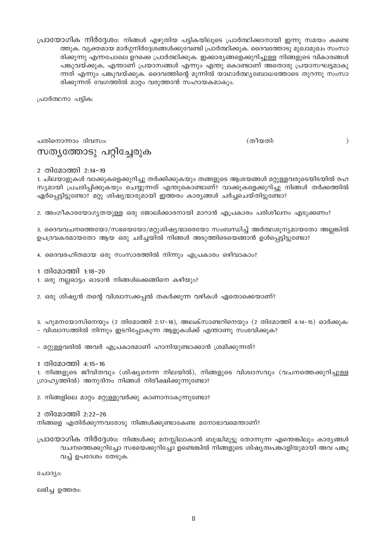പ്രായോഗിക നിർദ്ദേശം: നിങ്ങൾ എഴുതിയ പട്ടികയിലൂടെ പ്രാർത്ഥിക്കാനായി ഇന്നു സമയം കണ്ടെ ത്തുക. വ്യക്തമായ മാർഗ്ഗനിർദ്ദേശങ്ങൾക്കുവേണ്ടി പ്രാർത്ഥിക്കുക. ദൈവത്തോടു മുഖാമുഖം സംസാ രിക്കുന്നു എന്നപോലെ ഉറക്കെ പ്രാർത്ഥിക്കുക. ഇക്കാര്യങ്ങളെക്കുറിച്ചുള്ള നിങ്ങളുടെ വികാരങ്ങൾ പങ്കുവയ്ക്കുക, എന്താണ് പ്രയാസങ്ങൾ എന്നും എന്തു കൊണ്ടാണ് അതൊരു പ്രയാസഘട്ടമാകു ന്നത് എന്നും പങ്കുവയ്ക്കുക. ദൈവത്തിന്റെ മുന്നിൽ യാഥാർത്ഥ്യബോധത്തോടെ തുറന്നു സംസാ രിക്കുന്നത് വേഗത്തിൽ മാറ്റം വരുത്താൻ സഹായകമാകും.

പ്രാർത്ഥനാ പട്ടിക:

പതിനൊന്നാം ദിവസം: സത്യത്തോടു പറ്റിച്ചേരുക (തീയതി:

 $\mathcal{L}$ 

2 തിമോത്തി 2:14-19

1. ചിലയാളുകൾ വാക്കുകളെക്കുറിച്ചു തർക്കിക്കുകയും തങ്ങളുടെ ആശയങ്ങൾ മറ്റുള്ളവരുടെയിടയിൽ രഹ സ്യമായി പ്രചരിപ്പിക്കുകയും ചെയ്യുന്നത് എന്തുകൊണ്ടാണ്? വാക്കുകളെക്കുറിച്ചു നിങ്ങൾ തർക്കത്തിൽ ഏർപ്പെട്ടിട്ടുണ്ടോ? മറ്റു ശിഷ്യന്മാരുമായി ഇത്തരം കാര്യങ്ങൾ ചർച്ചചെയ്തിട്ടുണ്ടോ?

2. അംഗീകാരയോഗ്യതയുള്ള ഒരു ജോലിക്കാരനായി മാറാൻ എപ്രകാരം പരിശീലനം എടുക്കണം?

3. ദൈവവചനത്തെയോ/സഭയെയോ/മറ്റുശിഷ്യന്മാരെയോ സംബന്ധിച്ച് അർത്ഥശൂന്യമായതോ അല്ലങ്കിൽ ഉപദ്രവകരമായതോ ആയ ഒരു ചർച്ചയിൽ നിങ്ങൾ അടുത്തിടെയെങ്ങാൻ ഉൾപെട്ടിട്ടുണ്ടോ?

4. ദൈവരഹിതമായ ഒരു സംസാരത്തിൽ നിന്നും എപ്രകാരം ഒഴിവാകാം?

1 തിമോത്തി 1:18-20

1. ഒരു നല്ലഓട്ടം ഓടാൻ നിങ്ങൾക്കെങ്ങിനെ കഴിയും?

2. ഒരു ശിഷ്യൻ തന്റെ വിശ്വാസക്കപ്പൽ തകർക്കുന്ന വഴികൾ ഏതൊക്കെയാണ്?

3. ഹുമനയോസിനെയും (2 തിമോത്തി 2:17–18), അലക്സാണ്ടറിനെയും (2 തിമോത്തി 4:14–15) ഓർക്കുക:

– വിശ്ചാസത്തിൽ നിന്നും ഇടറിപ്പോകുന്ന ആളുകൾക്ക് എന്താണു സംഭവിക്കുക?

– മറ്റുള്ളവരിൽ അവർ എപ്രകാരമാണ് ഹാനിയുണ്ടാക്കാൻ ശ്രമിക്കുന്നത്?

1 തിമോത്തി 4:15-16

1. നിങ്ങളുടെ ജീവിതവും (ശിഷ്യനെന്ന നിലയിൽ), നിങ്ങളുടെ വിശ്വാസവും (വചനത്തെക്കുറിച്ചുള്ള ഗ്രാഹ്യത്തിൽ) അനുദിനം നിങ്ങൾ നിരീക്ഷിക്കുന്നുണ്ടോ?

2. നിങ്ങളിലെ മാറ്റം മറ്റുള്ളുവർക്കു കാണാനാകുന്നുണ്ടോ?

2 തിമോത്തി 2:22-26

നിങ്ങളെ എതിർക്കുന്നവരോടു നിങ്ങൾക്കുണ്ടാകേണ്ട മനോഭാവമെന്താണ്?

പ്രായോഗിക നിർദ്ദേശം: നിങ്ങൾക്കു മനസ്സിലാകാൻ ബുദ്ധിമുട്ടു തോന്നുന്ന എന്തെങ്കിലും കാര്യങ്ങൾ വചനത്തെക്കുറിച്ചോ സഭയെക്കുറിച്ചോ ഉണ്ടെങ്കിൽ നിങ്ങളുടെ ശിഷ്യത്വപങ്കാളിയുമായി അവ പങ്കു വച്ച് ഉപദേശം തേടുക.

ചോദ്യം:

ലഭിച്ച ഉത്തരം: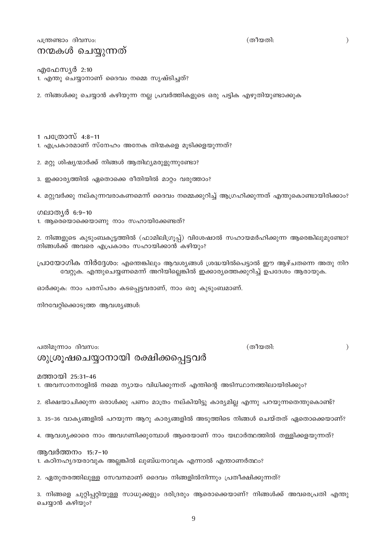പത്രണ്ടാം ദിവസം:

## നന്മകൾ ചെയ്യുന്നത്

എഫേസ്യർ 2:10

1. എന്തു ചെയ്യാനാണ് ദൈവം നമ്മെ സൃഷ്ടിച്ചത്?

2. നിങ്ങൾക്കു ചെയ്യാൻ കഴിയുന്ന നല്ല പ്രവർത്തികളുടെ ഒരു പട്ടിക എഴുതിയുണ്ടാക്കുക

1 പത്രോസ് 4:8-11

ഗലാതൃർ 6:9-10

3. ഇക്കാര്യത്തിൽ ഏതൊക്കെ രീതിയിൽ മാറ്റം വരുത്താം?

നിങ്ങൾക്ക് അവരെ എപ്രകാരം സഹായിക്കാൻ കഴിയും?

ഓർക്കുക: നാം പരസ്പരം കടപ്പെട്ടവരാണ്, നാം ഒരു കുടുംബമാണ്.

1. ആരെയൊക്കെയാണു നാം സഹായിക്കേണ്ടത്?

നിറവേറ്റിക്കൊടുത്ത ആവശ്യങ്ങൾ:

ആവർത്തനം 15:7-10

ചെയ്യാൻ കഴിയും?

2. ഭിക്ഷയാചിക്കുന്ന ഒരാൾക്കു പണം മാത്രം നല്കിയിട്ടു കാര്യമില്ല എന്നു പറയുന്നതെന്തുകൊണ്ട്?

4. ആവശ്യക്കാരെ നാം അവഗണിക്കുമ്പോൾ ആരെയാണ് നാം യഥാർത്ഥത്തിൽ തള്ളിക്കളയുന്നത്?

3. 35-36 വാകൃങ്ങളിൽ പറയുന്ന ആറു കാര്യങ്ങളിൽ അടുത്തിടെ നിങ്ങൾ ചെയ്തത് ഏതൊക്കെയാണ്?

മത്തായി 25:31-46 1. അവസാനനാളിൽ നമ്മെ ന്യായം വിധിക്കുന്നത് എന്തിന്റെ അടിസ്ഥാനത്തിലായിരിക്കും?

1. കഠിനഹൃദയരാവുക അല്ലങ്കിൽ ലുബ്ധനാവുക എന്നാൽ എന്താണർത്ഥം?

2. ഏതുതരത്തിലുള്ള സേവനമാണ് ദൈവം നിങ്ങളിൽനിന്നും പ്രതീക്ഷിക്കുന്നത്?

 $\mathcal{E}$ 

(തീയതി: പതിമുന്നാം ദിവസം: ശുശ്രൂഷചെയ്യാനായി രക്ഷിക്കപ്പെട്ടവർ

1. എപ്രകാരമാണ് സ്നേഹം അനേക തിന്മകളെ മൂടിക്കളയുന്നത്? 2. മറ്റു ശിഷ്യന്മാർക്ക് നിങ്ങൾ ആതിഥ്യമരുളുന്നുണ്ടോ?

4. മറ്റുവർക്കു നല്കുന്നവരാകണമെന്ന് ദൈവം നമ്മെക്കുറിച്ച് ആഗ്രഹിക്കുന്നത് എന്തുകൊണ്ടായിരിക്കാം?

2. നിങ്ങളുടെ കുടുംബകൂട്ടത്തിൽ (ഫാമിലിഗ്രൂപ്പ്) വിശേഷാൽ സഹായമർഹിക്കുന്ന ആരെങ്കിലുമുണ്ടോ?

പ്രായോഗിക നിർദ്ദേശം: എന്തെങ്കിലും ആവശ്യങ്ങൾ ശ്രദ്ധയിൽപെട്ടാൽ ഈ ആഴ്ചതന്നെ അതു നിറ വേറ്റുക. എന്തുചെയ്യണമെന്ന് അറിയില്ലെങ്കിൽ ഇക്കാര്യത്തെക്കുറിച്ച് ഉപദേശം ആരായുക.

(തീയതി:

9

3. നിങ്ങളെ ചുറ്റിപ്പറ്റിയുള്ള സാധുക്കളും ദരിദ്രരും ആരൊക്കെയാണ്? നിങ്ങൾക്ക് അവരെപ്രതി എന്തു

 $\lambda$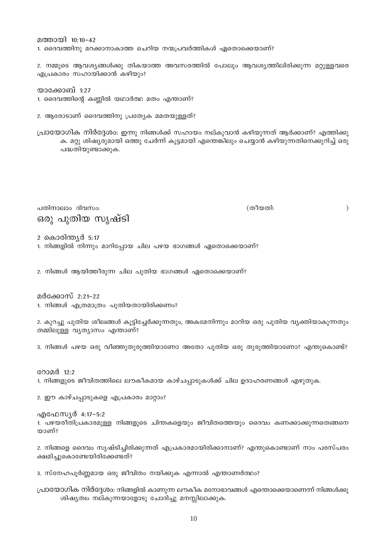മത്തായി 10:10-42 1. ദൈവത്തിനു മറക്കാനാകാത്ത ചെറിയ നന്മപ്രവർത്തികൾ ഏതൊക്കെയാണ്?

2. നമ്മുടെ ആവശ്യങ്ങൾക്കു തികയാത്ത അവസരത്തിൽ പോലും ആവശ്യത്തിലിരിക്കുന്ന മറ്റുള്ളവരെ എപ്രകാരം സഹായിക്കാൻ കഴിയും?

യാക്കോബ് 1:27

1. ദൈവത്തിന്റെ കണ്ണിൽ യഥാർത്ഥ മതം എന്താണ്?

2. ആരോടാണ് ദൈവത്തിനു പ്രത്യേക മമതയുള്ളത്?

പ്രായോഗിക നിർദ്ദേശം: ഇന്നു നിങ്ങൾക്ക് സഹായം നല്കുവാൻ കഴിയുന്നത് ആർക്കാണ്? എത്തിക്കു ക. മറ്റു ശിഷ്യരുമായി ഒത്തു ചേർന്ന് കൂട്ടമായി എന്തെങ്കിലും ചെയ്യാൻ കഴിയുന്നതിനെക്കുറിച്ച് ഒരു പദ്ധതിയുണ്ടാക്കുക.

പതിനാലാം ദിവസം: ഒരു പുതിയ സൃഷ്ടി (തീയതി:

 $\mathcal{E}$ 

2 കൊരിന്ത്യർ **5:17** 

1. നിങ്ങളിൽ നിന്നും മാറിപ്പോയ ചില പഴയ ഭാഗങ്ങൾ ഏതൊക്കെയാണ്?

2. നിങ്ങൾ ആയിത്തീരുന്ന ചില പുതിയ ഭാഗങ്ങൾ ഏതൊക്കെയാണ്?

മർക്കോസ് 2:21-22 1. നിങ്ങൾ എത്രമാത്രം പുതിയതായിരിക്കണം?

2. കുറച്ചു പുതിയ ശീലങ്ങൾ കുട്ടിച്ചേർക്കുന്നതും, അകമേനിന്നും മാറിയ ഒരു പുതിയ വ്യക്തിയാകുന്നതും തമ്മിലുള്ള വൃത്യാസം എന്താണ്?

3. നിങ്ങൾ പഴയ ഒരു വീഞ്ഞുതുരുത്തിയാണോ അതോ പുതിയ ഒരു തുരുത്തിയാണോ? എന്തുകൊണ്ട്?

റോമർ 12:2 1. നിങ്ങളുടെ ജീവിതത്തിലെ ലൗകീകമായ കാഴ്ചപ്പാടുകൾക്ക് ചില ഉദാഹരണങ്ങൾ എഴുതുക.

2. ഈ കാഴ്ചപ്പാടുകളെ എപ്രകാരം മാറ്റാം?

എഫേസ്യർ 4:17-5:2 1. പഴയരീതിപ്രകാരമുള്ള നിങ്ങളുടെ ചിന്തകളെയും ജീവിതത്തെയും ദൈവം കണക്കാക്കുന്നതെങ്ങനെ യാണ്?

2. നിങ്ങളെ ദൈവം സൃഷ്ടിച്ചിരിക്കുന്നത് എപ്രകാരമായിരിക്കാനാണ്? എന്തുകൊണ്ടാണ് നാം പരസ്പരം ക്ഷമിച്ചുകൊണ്ടേയിരിക്കേണ്ടത്?

3. സ്നേഹപൂർണ്ണമായ ഒരു ജീവിതം നയിക്കുക എന്നാൽ എന്താണർത്ഥം?

പ്രായോഗിക നിർദ്ദേശം: നിങ്ങളിൽ കാണുന്ന ലൗകീക മനോഭാവങ്ങൾ എന്തൊക്കെയാണെന്ന് നിങ്ങൾക്കു ശിഷ്യത്വം നല്കുന്നയാളോടു ചോദിച്ചു മനസ്സിലാക്കുക.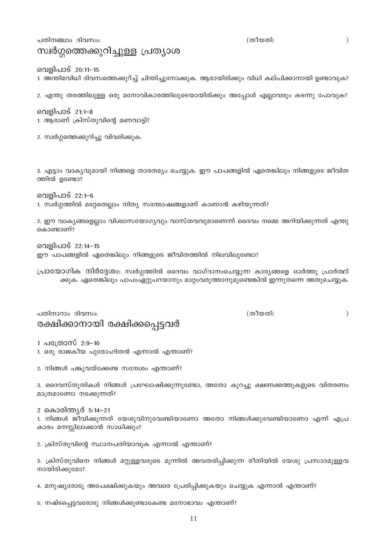പതിനഞ്ചാം ദിവസം:

സ്വർഗ്ഗത്തെക്കുറിച്ചുള്ള പ്രത്യാശ

1. ആരാണ് ക്രിസ്തുവിന്റെ മണവാട്ടി?

2. സ്വർഗ്ഗത്തെക്കുറിച്ചു വിവരിക്കുക.

(തീയതി:

(തീയതി:

 $\big)$ 

 $\lambda$ 

### വെളിപാട് 20:11-15

വെളിപാട് 21:1-8

ത്തിൽ ഉണ്ടോ?

കൊണ്ടാണ്?

വെളിപാട് 22:1-6

വെളിപാട് 22:14-15

പതിനാറാം ദിവസം:

1. അന്തിമവിധി ദിവസത്തെക്കുറ്ച്ച് ചിന്തിച്ചുനോക്കുക. ആരായിരിക്കും വിധി കല്പിക്കാനായി ഉണ്ടാവുക?

2. എന്തു തരത്തിലുള്ള ഒരു മനോവികാരത്തിലൂടെയായിരിക്കും അപ്പോൾ എല്ലാവരും കടന്നു പോവുക?

3. എട്ടാം വാക്യവുമായി നിങ്ങളെ താരതമ്യം ചെയ്യുക. ഈ പാപങ്ങളിൽ ഏതെങ്കിലും നിങ്ങളുടെ ജീവിത

2. ഈ വാകൃങ്ങളെല്ലാം വിശ്വാസയോഗ്യവും വാസ്തവവുമാണെന്ന് ദൈവം നമ്മെ അറിയിക്കുന്നത് എന്തു

പ്രായോഗിക നിർദ്ദേശം: സ്വർഗ്ഗത്തിൽ ദൈവം വാഗ്ദാനംചെയ്യുന്ന കാര്യങ്ങളെ ഓർത്തു പ്രാർത്ഥി

ക്കുക. ഏതെങ്കിലും പാപംഏറ്റുപറയാനും മാറ്റംവരുത്താനുമുണ്ടെങ്കിൽ ഇന്നുതന്നെ അതുചെയ്യുക.

1. സ്വർഗ്ഗത്തിൽ മറ്റേതെല്ലാം നിത്യ സന്തോഷങ്ങളാണ് കാണാൻ കഴിയുന്നത്?

ഈ പാപങ്ങളിൽ ഏതെങ്കിലും നിങ്ങളുടെ ജീവിതത്തിൽ നിലവിലുണ്ടോ?

1 പത്രോസ് 2:9-10

1. ഒരു രാജകീയ പുരോഹിതൻ എന്നാൽ എന്താണ്?

2. നിങ്ങൾ പങ്കുവയ്ക്കേണ്ട സന്ദേശം എന്താണ്?

രക്ഷിക്കാനായി രക്ഷിക്കപ്പെട്ടവർ

3. ദൈവസ്തുതികൾ നിങ്ങൾ പ്രഘോഷിക്കുന്നുണ്ടോ, അതോ കുറച്ചു ക്ഷണക്കത്തുകളുടെ വിതരണം മാത്രമാണോ നടക്കുന്നത്?

2 കൊരിന്ത്യർ 5:14–21

1. നിങ്ങൾ ജീവിക്കുന്നത് യേശുവിനുവേണ്ടിയാണോ അതോ നിങ്ങൾക്കുവേണ്ടിയാണോ എന്ന് എപ്ര കാരം മനസ്സിലാക്കാൻ സാധിക്കും?

2. ക്രിസ്തുവിന്റെ സ്ഥാനപതിയാവുക എന്നാൽ എന്താണ്?

3. ക്രിസ്തുവിനെ നിങ്ങൾ മറ്റുള്ളവരുടെ മുന്നിൽ അവതരിപ്പിക്കുന്ന രീതിയിൽ യേശു പ്രസാദമുള്ളവ നായിരിക്കുമോ?

4. മനുഷ്യരോടു അപേക്ഷിക്കുകയും അവരെ പ്രേരിപ്പിക്കുകയും ചെയ്യുക എന്നാൽ എന്താണ്?

5. നഷ്ടപ്പെട്ടവരോടു നിങ്ങൾക്കുണ്ടാകേണ്ട മനോഭാവം എന്താണ്?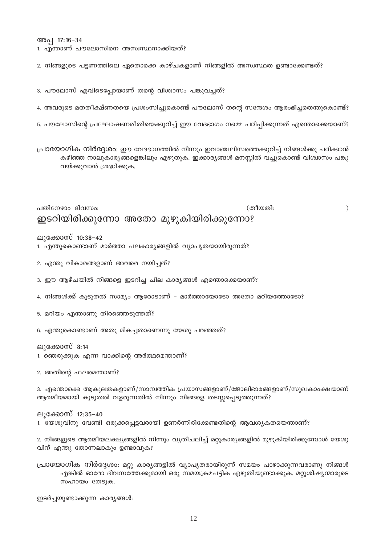അപ്പ 17:16-34

1. എന്താണ് പൗലോസിനെ അസ്വസ്ഥനാക്കിയത്?

2. നിങ്ങളുടെ പട്ടണത്തിലെ ഏതൊക്കെ കാഴ്ചകളാണ് നിങ്ങളിൽ അസ്വസ്ഥത ഉണ്ടാക്കേണ്ടത്?

3. പൗലോസ് എവിടെപ്പോയാണ് തന്റെ വിശ്വാസം പങ്കുവച്ചത്?

4. അവരുടെ മതതീക്ഷ്ണതയെ പ്രശംസിച്ചുകൊണ്ട് പൗലോസ് തന്റെ സന്ദേശം ആരംഭിച്ചതെന്തുകൊണ്ട്?

5. പൗലോസിന്റെ പ്രഘോഷണരീതിയെക്കുറിച്ച് ഈ വേദഭാഗം നമ്മെ പഠിപ്പിക്കുന്നത് എന്തൊക്കെയാണ്?

പ്രായോഗിക നിർദ്ദേശം: ഈ വേദഭാഗത്തിൽ നിന്നും ഇവാഞ്ചലിസത്തെക്കുറിച്ച് നിങ്ങൾക്കു പഠിക്കാൻ കഴിഞ്ഞ നാലുകാര്യങ്ങളെങ്കിലും എഴുതുക. ഇക്കാര്യങ്ങൾ മനസ്സിൽ വച്ചുകൊണ്ട് വിശ്വാസം പങ്കു വയ്ക്കുവാൻ ശ്രദ്ധിക്കുക.

പതിനേഴാം ദിവസം: (തീയതി: ഇടറിയിരിക്കുന്നോ അതോ മുഴുകിയിരിക്കുന്നോ?

 $\mathcal{E}$ 

ലുക്കോസ് 10:38-42 1. എന്തുകൊണ്ടാണ് മാർത്താ പലകാര്യങ്ങളിൽ വ്യാപൃതയായിരുന്നത്?

2. എന്തു വികാരങ്ങളാണ് അവരെ നയിച്ചത്?

3. ഈ ആഴ്ചയിൽ നിങ്ങളെ ഇടറിച്ച ചില കാര്യങ്ങൾ എന്തൊക്കെയാണ്?

- 4. നിങ്ങൾക്ക് കുടുതൽ സാമ്യം ആരോടാണ് മാർത്തായോടോ അതോ മറിയത്തോടോ?
- 5. മറിയം എന്താണു തിരഞ്ഞെടുത്തത്?
- 6. എന്തുകൊണ്ടാണ് അതു മികച്ചതാണെന്നു യേശു പറഞ്ഞത്?

ലുക്കോസ് 8:14

1. ഞെരുക്കുക എന്ന വാക്കിന്റെ അർത്ഥമെന്താണ്?

2. അതിന്റെ ഫലമെന്താണ്?

3. എന്തൊക്കെ ആകുലതകളാണ്/സാമ്പത്തിക പ്രയാസങ്ങളാണ്/ജോലിഭാരങ്ങളാണ്/സുഖകാംക്ഷയാണ് ആത്മീയമായി കൂടുതൽ വളരുന്നതിൽ നിന്നും നിങ്ങളെ തടസ്സപ്പെടുത്തുന്നത്?

ലുക്കോസ് 12:35–40 1. യേശുവിനു വേണ്ടി ഒരുക്കപ്പെട്ടവരായി ഉണർന്നിരിക്കേണ്ടതിന്റെ ആവശ്യകതയെന്താണ്?

2. നിങ്ങളുടെ ആത്മീയലക്ഷ്യങ്ങളിൽ നിന്നും വ്യതിചലിച്ച് മറ്റുകാര്യങ്ങളിൽ മുഴുകിയിരിക്കുമ്പോൾ യേശു വിന് എന്തു തോന്നലാകും ഉണ്ടാവുക?

പ്രായോഗിക നിർദ്ദേശം: മറ്റു കാര്യങ്ങളിൽ വ്യാപൃതരായിരുന്ന് സമയം പാഴാക്കുന്നവരാണു നിങ്ങൾ എങ്കിൽ ഓരോ ദിവസത്തേക്കുമായി ഒരു സമയക്രമപട്ടിക എഴുതിയുണ്ടാക്കുക. മറ്റുശിഷ്യന്മാരുടെ സഹായം തേടുക.

ഇടർച്ചയുണ്ടാക്കുന്ന കാര്യങ്ങൾ: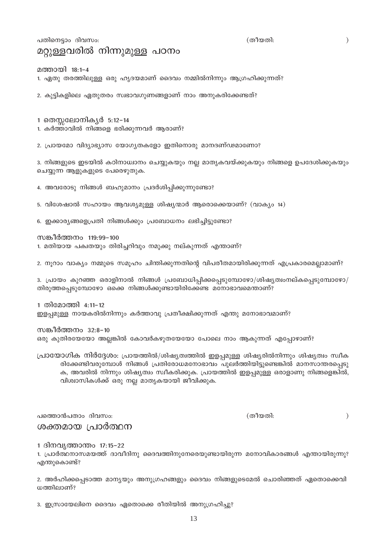13

## പതിനെടാം ദിവസം: മറ്റുള്ളവരിൽ നിന്നുമുള്ള പഠനം

മത്തായി 18:1–4

1. ഏതു തരത്തിലുള്ള ഒരു ഹൃദയമാണ് ദൈവം നമ്മിൽനിന്നും ആഗ്രഹിക്കുന്നത്?

2. കുട്ടികളിലെ ഏതുതരം സ്വഭാവഗുണങ്ങളാണ് നാം അനുകരിക്കേണ്ടത്?

- 1 തെസ്സലോനികൃർ 5:12-14
- 1. കർത്താവിൽ നിങ്ങളെ ഭരിക്കുന്നവർ ആരാണ്?
- 2. പ്രായമോ വിദ്യാഭ്യാസ യോഗ്യതകളോ ഇതിനൊരു മാനദണ്ഢമാണോ?

3. നിങ്ങളുടെ ഇടയിൽ കഠിനാധ്വാനം ചെയ്യുകയും നല്ല മാതൃകവയ്ക്കുകയും നിങ്ങളെ ഉപദേശിക്കുകയും ചെയ്യുന്ന ആളുകളുടെ പേരെഴുതുക.

4. അവരോടു നിങ്ങൾ ബഹുമാനം പ്രദർശിപ്പിക്കുന്നുണ്ടോ?

5. വിശേഷാൽ സഹായം ആവശ്യമുള്ള ശിഷ്യന്മാർ ആരൊക്കെയാണ്? (വാക്യം 14)

6. ഇക്കാര്യങ്ങളെപ്രതി നിങ്ങൾക്കും പ്രബോധനം ലഭിച്ചിട്ടുണ്ടോ?

സങ്കീർത്തനം 119:99–100

1. മതിയായ പക്വതയും തിരിച്ചറിവും നമുക്കു നല്കുന്നത് എന്താണ്?

2. നൂറാം വാക്യം നമ്മുടെ സമൂഹം ചിന്തിക്കുന്നതിന്റെ വിപരീതമായിരിക്കുന്നത് എപ്രകാരമെല്ലാമാണ്?

3. പ്രായം കുറഞ്ഞ ഒരാളിനാൽ നിങ്ങൾ പ്രബോധിപ്പിക്കപ്പെടുമ്പോഴോ/ശിഷ്യത്വംനല്കപ്പെടുമ്പോഴോ/ തിരുത്തപ്പെടുമ്പോഴോ ഒക്കെ നിങ്ങൾക്കുണ്ടായിരിക്കേണ്ട മനോഭാവമെന്താണ്?

1 തിമോത്തി 4:11-12 ഇളപ്പമുള്ള നായകരിൽനിന്നും കർത്താവു പ്രതീക്ഷിക്കുന്നത് എന്തു മനോഭാവമാണ്?

സങ്കീർത്തനം 32:8-10 ഒരു കുതിരയേയോ അല്ലങ്കിൽ കോവർകഴുതയേയോ പോലെ നാം ആകുന്നത് എപ്പോഴാണ്?

പ്രായോഗിക നിർദ്ദേശം: പ്രായത്തിൽ/ശിഷ്യത്വത്തിൽ ഇളപ്പമുള്ള ശിഷ്യരിൽനിന്നും ശിഷ്യത്വം സ്വീക രിക്കേണ്ടിവരുമ്പോൾ നിങ്ങൾ പ്രതിരോധമനോഭാവം പുലർത്തിയിട്ടുണ്ടെങ്കിൽ മാനസാന്തരപ്പെടു ക, അവരിൽ നിന്നും ശിഷ്യത്വം സ്വീകരിക്കുക. പ്രായത്തിൽ ഇളപ്പമുള്ള ഒരാളാണു നിങ്ങളെങ്കിൽ, വിശ്വാസികൾക്ക് ഒരു നല്ല മാതൃകയായി ജീവിക്കുക.

പത്തൊൻപതാം ദിവസം: ശക്തമായ പ്രാർത്ഥന

1 ദിനവൃത്താന്തം 17:15–22

1. പ്രാർത്ഥനാസമയത്ത് ദാവീദിനു ദൈവത്തിനുനേരെയുണ്ടായിരുന്ന മനോവികാരങ്ങൾ എന്തായിരുന്നു? എന്തുകൊണ്ട്?

2. അർഹിക്കപ്പെടാത്ത മാന്യയും അനുഗ്രഹങ്ങളും ദൈവം നിങ്ങളുടെമേൽ ചൊരിഞ്ഞത് ഏതൊക്കെവി ധത്തിലാണ്?

3. ഇസ്രായേലിനെ ദൈവം ഏതൊക്കെ രീതിയിൽ അനുഗ്രഹിച്ചു?

 $\mathcal{L}$ 

(തീയതി:

 $\mathcal{E}$ 

(തീയതി: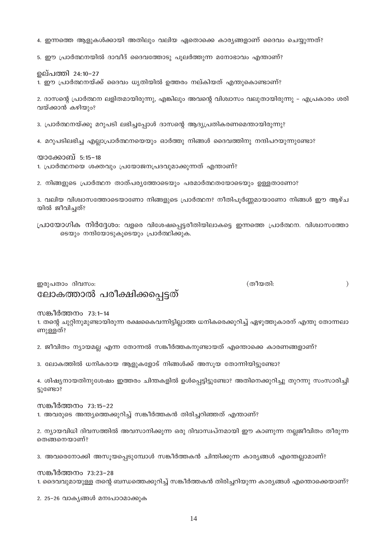4. ഇന്നത്തെ ആളുകൾക്കായി അതിലും വലിയ ഏതൊക്കെ കാര്യങ്ങളാണ് ദൈവം ചെയ്യുന്നത്?

5. ഈ പ്രാർത്ഥനയിൽ ദാവീദ് ദൈവത്തോടു പുലർത്തുന്ന മനോഭാവം എന്താണ്?

ഉല്പത്തി 24:10-27

1. ഈ പ്രാർത്ഥനയ്ക്ക് ദൈവം ധൃതിയിൽ ഉത്തരം നല്കിയത് എന്തുകൊണ്ടാണ്?

2. ദാസന്റെ പ്രാർത്ഥന ലളിതമായിരുന്നു, എങ്കിലും അവന്റെ വിശ്വാസം വലുതായിരുന്നു – എപ്രകാരം ശരി വയ്ക്കാൻ കഴിയും?

3. പ്രാർത്ഥനയ്ക്കു മറുപടി ലഭിച്ചപ്പോൾ ദാസന്റെ ആദ്യപ്രതികരണമെന്തായിരുന്നു?

4. മറുപടിലഭിച്ച എല്ലാപ്രാർത്ഥനയെയും ഓർത്തു നിങ്ങൾ ദൈവത്തിനു നന്ദിപറയുന്നുണ്ടോ?

യാക്കോബ് 5:15–18

1. പ്രാർത്ഥനയെ ശക്തവും പ്രയോജനപ്രദവുമാക്കുന്നത് എന്താണ്?

2. നിങ്ങളുടെ പ്രാർത്ഥന താത്പര്യത്തോടെയും പരമാർത്ഥതയോടെയും ഉള്ളതാണോ?

3. വലിയ വിശ്വാസത്തോടെയാണോ നിങ്ങളുടെ പ്രാർത്ഥന? നീതിപൂർണ്ണമായാണോ നിങ്ങൾ ഈ ആഴ്ച യിൽ ജീവിച്ചത്?

പ്രായോഗിക നിർദ്ദേശം: വളരെ വിശേഷപ്പെട്ടരീതിയിലാകട്ടെ ഇന്നത്തെ പ്രാർത്ഥന. വിശ്വാസത്തോ ടെയും നന്ദിയോടുകൂടെയും പ്രാർത്ഥിക്കുക.

ഇരുപതാം ദിവസം:

## ലോകത്താൽ പരീക്ഷിക്കപ്പെട്ടത്

സങ്കീർത്തനം 73:1–14

1. തന്റെ ചുറ്റിനുമുണ്ടായിരുന്ന രക്ഷകൈവന്നിട്ടില്ലാത്ത ധനികരെക്കുറിച്ച് ഏഴുത്തുകാരന് എന്തു തോന്നലാ ണുള്ളത്?

2. ജീവിതം ന്യായമല്ല എന്ന തോന്നൽ സങ്കീർത്തകനുണ്ടായത് എന്തൊക്കെ കാരണങ്ങളാണ്?

3. ലോകത്തിൽ ധനികരായ ആളുകളോട് നിങ്ങൾക്ക് അസൂയ തോന്നിയിട്ടുണ്ടോ?

4. ശിഷ്യനായതിനുശേഷം ഇത്തരം ചിന്തകളിൽ ഉൾപ്പെട്ടിട്ടുണ്ടോ? അതിനെക്കുറിച്ചു തുറന്നു സംസാരിച്ചി ട്ടുണ്ടോ?

സങ്കീർത്തനം 73:15-22 1. അവരുടെ അന്ത്യത്തെക്കുറിച്ച് സങ്കീർത്തകൻ തിരിച്ചറിഞ്ഞത് എന്താണ്?

2. ന്യായവിധി ദിവസത്തിൽ അവസാനിക്കുന്ന ഒരു ദിവാസ്വപ്നമായി ഈ കാണുന്ന നല്ലജീവിതം തീരുന്ന തെങ്ങനെയാണ്?

3. അവരെനോക്കി അസുയപെടുമ്പോൾ സങ്കീർത്തകൻ ചിന്തിക്കുന്ന കാര്യങ്ങൾ എന്തെല്ലാമാണ്?

സങ്കീർത്തനം 73:23–28 1. ദൈവവുമായുള്ള തന്റെ ബന്ധത്തെക്കുറിച്ച് സങ്കീർത്തകൻ തിരിച്ചറിയുന്ന കാര്യങ്ങൾ എന്തൊക്കെയാണ്?

2. 25-26 വാകൃങ്ങൾ മനഃപാഠമാക്കുക

(തീയതി:

 $\mathcal{E}$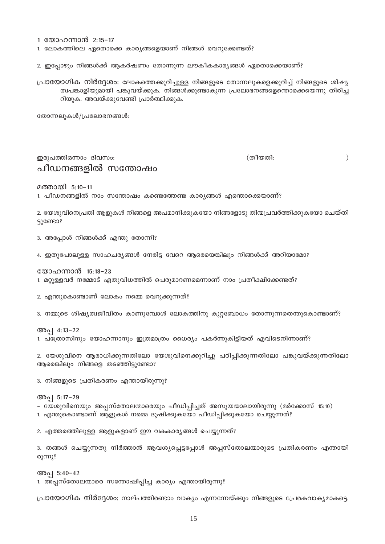1 യോഹന്നാൻ 2:15-17

1. ലോകത്തിലെ ഏതൊക്കെ കാര്യങ്ങളെയാണ് നിങ്ങൾ വെറുക്കേണ്ടത്?

2. ഇപ്പോഴും നിങ്ങൾക്ക് ആകർഷണം തോന്നുന്ന ലൗകീകകാര്യങ്ങൾ ഏതൊക്കെയാണ്?

പ്രായോഗിക നിർദ്ദേശം: ലോകത്തെക്കുറിച്ചുള്ള നിങ്ങളുടെ തോന്നലുകളെക്കുറിച്ച് നിങ്ങളുടെ ശിഷ്യ ത്വപങ്കാളിയുമായി പങ്കുവയ്ക്കുക. നിങ്ങൾക്കുണ്ടാകുന്ന പ്രലോഭനങ്ങളെന്തൊക്കെയെന്നു തിരിച്ച റിയുക. അവയ്ക്കുവേണ്ടി പ്രാർത്ഥിക്കുക.

തോന്നലുകൾ/പ്രലോഭനങ്ങൾ:

## ഇരുപത്തിഒന്നാം ദിവസം: പീഡനങ്ങളിൽ സന്തോഷം

(തീയതി:

 $\mathcal{E}$ 

മത്തായി 5:10-11

1. പീഡനങ്ങളിൽ നാം സന്തോഷം കണ്ടെത്തേണ്ട കാര്യങ്ങൾ എന്തൊക്കെയാണ്?

2. യേശുവിനെപ്രതി ആളുകൾ നിങ്ങളെ അപമാനിക്കുകയോ നിങ്ങളോടു തിന്മപ്രവർത്തിക്കുകയോ ചെയ്തി ട്ടുണ്ടോ?

3. അപ്പോൾ നിങ്ങൾക്ക് എന്തു തോന്നി?

4. ഇതുപോലുള്ള സാഹചര്യങ്ങൾ നേരിട്ട വേറെ ആരെയെങ്കിലും നിങ്ങൾക്ക് അറിയാമോ?

യോഹന്നാൻ 15:18–23

അപ്പ 5:17-29

 $@2$ (m) $?$ 

അപ്പ 5:40-42

1. മറ്റുള്ളവർ നമ്മോട് ഏതുവിധത്തിൽ പെരുമാറണമെന്നാണ് നാം പ്രതീക്ഷിക്കേണ്ടത്?

3. നിങ്ങളുടെ പ്രതികരണം എന്തായിരുന്നു?

2. എന്തുകൊണ്ടാണ് ലോകം നമ്മെ വെറുക്കുന്നത്?

അപ്പ 4:13-22

2. യേശുവിനെ ആരാധിക്കുന്നതിലോ യേശുവിനെക്കുറിച്ചു പഠിപ്പിക്കുന്നതിലോ പങ്കുവയ്ക്കുന്നതിലോ

ആരെങ്കിലും നിങ്ങളെ തടഞ്ഞിട്ടുണ്ടോ?

1. പത്രോസിനും യോഹന്നാനും ഇത്രമാത്രം ധൈര്യം പകർന്നുകിട്ടിയത് എവിടെനിന്നാണ്?

3. നമ്മുടെ ശിഷ്യത്വജീവിതം കാണുമ്പോൾ ലോകത്തിനു കുറ്റബോധം തോന്നുന്നതെന്തുകൊണ്ടാണ്?

പ്രായോഗിക നിർദ്ദേശം: നാല്പത്തിരണ്ടാം വാക്യം എന്നന്നേയ്ക്കും നിങ്ങളുടെ പ്രേരകവാക്യമാകട്ടെ.

2. എത്തരത്തിലുള്ള ആളുകളാണ് ഈ വകകാര്യങ്ങൾ ചെയ്യുന്നത്?

3. തങ്ങൾ ചെയ്യുന്നതു നിർത്താൻ ആവശ്യപ്പെട്ടപ്പോൾ അപ്പസ്തോലന്മാരുടെ പ്രതികരണം എന്തായി

1. അപ്പസ്തോലന്മാരെ സന്തോഷിപ്പിച്ച കാര്യം എന്തായിരുന്നു?

– യേശുവിനെയും അപ്പസ്തോലന്മാരെയും പീഡിപ്പിച്ചത് അസൂയയാലായിരുന്നു (മർക്കോസ് 15:10) 1. എന്തുകൊണ്ടാണ് ആളുകൾ നമ്മെ ദുഷിക്കുകയോ പീഡിപ്പിക്കുകയോ ചെയ്യുന്നത്?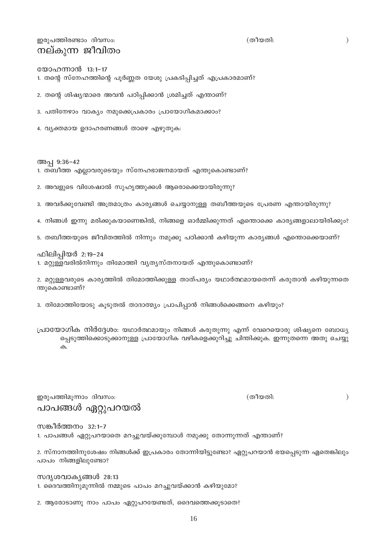പാപങ്ങൾ ഏറ്റുപറയൽ

സങ്കീർത്തനം 32:1-7

1. പാപങ്ങൾ ഏറ്റുപറയാതെ മറച്ചുവയ്ക്കുമ്പോൾ നമുക്കു തോന്നുന്നത് എന്താണ്?

2. സ്നാനത്തിനുശേഷം നിങ്ങൾക്ക് ഇപ്രകാരം തോന്നിയിട്ടുണ്ടോ? ഏറ്റുപറയാൻ ഭയപ്പെടുന്ന ഏതെങ്കിലും പാപം നിങ്ങളിലുണ്ടോ?

സദൃശവാകൃങ്ങൾ 28:13 1. ദൈവത്തിനുമുന്നിൽ നമ്മുടെ പാപം മറച്ചുവയ്ക്കാൻ കഴിയുമോ?

2. ആരോടാണു നാം പാപം ഏറ്റുപറയേണ്ടത്, ദൈവത്തെക്കൂടാതെ?

ഇരുപത്തിമൂന്നാം ദിവസം:

ഫിലിപ്പിയർ 2:19-24

പ്രായോഗിക നിർദ്ദേശം: യഥാർത്ഥമായും നിങ്ങൾ കരുതുന്നു എന്ന് വേറെയൊരു ശിഷ്യനെ ബോധ്യ പ്പെടുത്തിക്കൊടുക്കാനുള്ള പ്രായോഗിക വഴികളെക്കുറിച്ചു ചിന്തിക്കുക. ഇന്നുതന്നെ അതു ചെയ്യു  $\uparrow$ 

ന്തുകൊണ്ടാണ്?

2. മറ്റുള്ളവരുടെ കാര്യത്തിൽ തിമോത്തിക്കുള്ള താത്പര്യം യഥാർത്ഥമായതെന്ന് കരുതാൻ കഴിയുന്നതെ

4. നിങ്ങൾ ഇന്നു മരിക്കുകയാണെങ്കിൽ, നിങ്ങളെ ഓർമ്മിക്കുന്നത് എന്തൊക്കെ കാര്യങ്ങളാലായിരിക്കും?

5. തബീത്തയുടെ ജീവിതത്തിൽ നിന്നും നമുക്കു പഠിക്കാൻ കഴിയുന്ന കാര്യങ്ങൾ എന്തൊക്കെയാണ്?

3. അവർക്കുവേണ്ടി അത്രമാത്രം കാര്യങ്ങൾ ചെയ്യാനുള്ള തബീത്തയുടെ പ്രേരണ എന്തായിരുന്നു?

2. അവളുടെ വിശേഷാൽ സുഹൃത്തുക്കൾ ആരൊക്കെയായിരുന്നു?

അപ്പ 9:36-42

1. തബീത്ത എല്ലാവരുടെയും സ്നേഹഭാജനമായത് എന്തുകൊണ്ടാണ്?

1. മറ്റുള്ളവരിൽനിന്നും തിമോത്തി വ്യത്യസ്തനായത് എന്തുകൊണ്ടാണ്?

3. തിമോത്തിയോടു കൂടുതൽ താദാത്മ്യം പ്രാപിപ്പാൻ നിങ്ങൾക്കെങ്ങനെ കഴിയും?

4. വ്യക്തമായ ഉദാഹരണങ്ങൾ താഴെ എഴുതുക:

3. പതിനേഴാം വാക്യം നമുക്കെപ്രകാരം പ്രായോഗികമാക്കാം?

2. തന്റെ ശിഷ്യന്മാരെ അവൻ പഠിപ്പിക്കാൻ ശ്രമിച്ചത് എന്താണ്?

യോഹന്നാൻ 13:1-17 1. തന്റെ സ്നേഹത്തിന്റെ പൂർണ്ണത യേശു പ്രകടിപ്പിച്ചത് എപ്രകാരമാണ്?

ഇരുപത്തിരണ്ടാം ദിവസം: നല്കുന്ന ജീവിതം

 $\mathcal{E}$ 

(തീയതി:

(തീയതി:

 $\big)$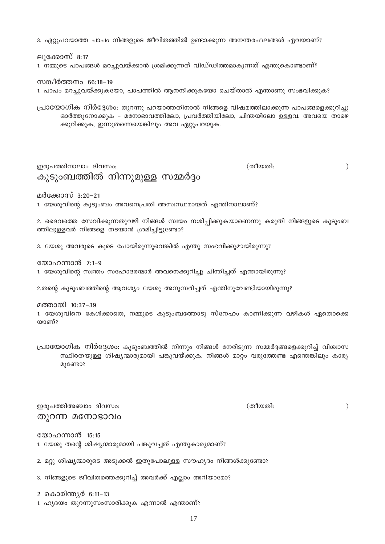2 കൊരിന്ത്യർ 6:11–13

3. നിങ്ങളുടെ ജീവിതത്തെക്കുറിച്ച് അവർക്ക് എല്ലാം അറിയാമോ?

2. മറ്റു ശിഷ്യന്മാരുടെ അടുക്കൽ ഇതുപോലുള്ള സൗഹൃദം നിങ്ങൾക്കുണ്ടോ?

യോഹന്നാൻ 15:15 1. യേശു തന്റെ ശിഷ്യന്മാരുമായി പങ്കുവച്ചത് എന്തുകാര്യമാണ്?

ഇരുപത്തിഅഞ്ചാം ദിവസം: തുറന്ന മനോഭാവം

പ്രായോഗിക നിർദ്ദേശം: കുടുംബത്തിൽ നിന്നും നിങ്ങൾ നേരിടുന്ന സമ്മർദ്ദങ്ങളെക്കുറിച്ച് വിശ്വാസ സ്ഥിരതയുള്ള ശിഷ്യന്മാരുമായി പങ്കുവയ്ക്കുക. നിങ്ങൾ മാറ്റം വരുത്തേണ്ട എന്തെങ്കിലും കാര്യ മുണ്ടോ?

യാണ്?

സങ്കീർത്തനം 66:18-19

ഇരുപത്തിനാലാം ദിവസം:

1. യേശുവിനെ കേൾക്കാതെ, നമ്മുടെ കുടുംബത്തോടു സ്നേഹം കാണിക്കുന്ന വഴികൾ ഏതൊക്കെ

മത്തായി 10:37-39

യോഹന്നാൻ 7:1-9 1. യേശുവിന്റെ സ്വന്തം സഹോദരന്മാർ അവനെക്കുറിച്ചു ചിന്തിച്ചത് എന്തായിരുന്നു?

3. യേശു അവരുടെ കുടെ പോയിരുന്നുവെങ്കിൽ എന്തു സംഭവിക്കുമായിരുന്നു?

2.തന്റെ കുടുംബത്തിന്റെ ആവശ്യം യേശു അനുസരിച്ചത് എന്തിനുവേണ്ടിയായിരുന്നു?

ത്തിലുള്ളവർ നിങ്ങളെ തടയാൻ ശ്രമിച്ചിട്ടുണ്ടോ?

2. ദൈവത്തെ സേവിക്കുന്നതുവഴി നിങ്ങൾ സ്വയം നശിപ്പിക്കുകയാണെന്നു കരുതി നിങ്ങളുടെ കുടുംബ

മർക്കോസ് 3:20–21 1. യേശുവിന്റെ കുടുംബം അവനെപ്രതി അസ്വസ്ഥമായത് എന്തിനാലാണ്?

ക്കുറിക്കുക, ഇന്നുതന്നെയെങ്കിലും അവ ഏറ്റുപറയുക.

കുടുംബത്തിൽ നിന്നുമുള്ള സമ്മർദ്ദം

ലുക്കോസ് 8:17 1. നമ്മുടെ പാപങ്ങൾ മറച്ചുവയ്ക്കാൻ ശ്രമിക്കുന്നത് വിഡ്ഢിത്തമാകുന്നത് എന്തുകൊണ്ടാണ്?

1. പാപം മറച്ചുവയ്ക്കുകയോ, പാപത്തിൽ ആനന്ദിക്കുകയോ ചെയ്താൽ എന്താണു സംഭവിക്കുക?

പ്രായോഗിക നിർദ്ദേശം: തുറന്നു പറയാത്തതിനാൽ നിങ്ങളെ വിഷമത്തിലാക്കുന്ന പാപങ്ങളെക്കുറിച്ചു

ഓർത്തുനോക്കുക - മനോഭാവത്തിലോ, പ്രവർത്തിയിലോ, ചിന്തയിലോ ഉള്ളവ. അവയെ താഴെ

(തീയതി:

(തീയതി:

 $\mathcal{E}$ 

 $\mathcal{E}$ 

3. ഏറ്റുപറയാത്ത പാപം നിങ്ങളുടെ ജീവിതത്തിൽ ഉണ്ടാക്കുന്ന അനന്തരഫലങ്ങൾ ഏവയാണ്?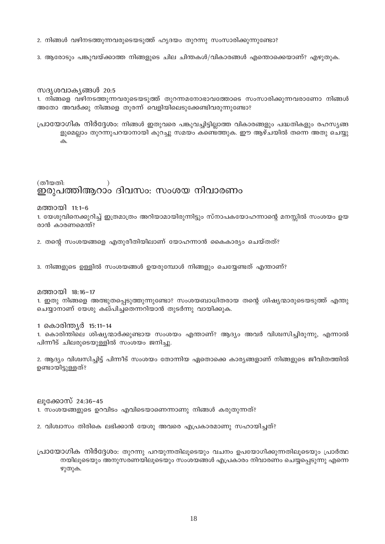2. നിങ്ങൾ വഴിനടത്തുന്നവരുടെയടുത്ത് ഹൃദയം തുറന്നു സംസാരിക്കുന്നുണ്ടോ?

3. ആരോടും പങ്കുവയ്ക്കാത്ത നിങ്ങളുടെ ചില ചിന്തകൾ/വികാരങ്ങൾ എന്തൊക്കെയാണ്? എഴുതുക.

### സദൃശവാകൃങ്ങൾ 20:5

1. നിങ്ങളെ വഴിനടത്തുന്നവരുടെയടുത്ത് തുറന്നമനോഭാവത്തോടെ സംസാരിക്കുന്നവരാണോ നിങ്ങൾ അതോ അവർക്കു നിങ്ങളെ തുരന്ന് വെളിയിലെടുക്കേണ്ടിവരുന്നുണ്ടോ?

പ്രായോഗിക നിർദ്ദേശം: നിങ്ങൾ ഇതുവരെ പങ്കുവച്ചിട്ടില്ലാത്ത വികാരങ്ങളും പദ്ധതികളും രഹസ്യങ്ങ ളുമെല്ലാം തുറന്നുപറയാനായി കുറച്ചു സമയം കണ്ടെത്തുക. ഈ ആഴ്ചയിൽ തന്നെ അതു ചെയ്യു

 $\uparrow$ 

(തീയതി: ഇരുപത്തിആറാം ദിവസം: സംശയ നിവാരണം

മത്തായി 11:1-6

1. യേശുവിനെക്കുറിച്ച് ഇത്രമാത്രം അറിയാമായിരുന്നിട്ടും സ്നാപകയോഹന്നാന്റെ മനസ്സിൽ സംശയം ഉയ രാൻ കാരണമെന്ത്?

2. തന്റെ സംശയങ്ങളെ എതുരീതിയിലാണ് യോഹന്നാൻ കൈകാര്യം ചെയ്തത്?

3. നിങ്ങളുടെ ഉള്ളിൽ സംശയങ്ങൾ ഉയരുമ്പോൾ നിങ്ങളും ചെയ്യേണ്ടത് എന്താണ്?

മത്തായി 18:16-17

1. ഇതു നിങ്ങളെ അത്ഭുതപ്പെടുത്തുന്നുണ്ടോ? സംശയബാധിതരായ തന്റെ ശിഷ്യന്മാരുടെയടുത്ത് എന്തു ചെയ്യാനാണ് യേശു കല്പിച്ചതെന്നറിയാൻ തുടർന്നു വായിക്കുക.

1 കൊരിന്ത്യർ 15:11-14

1. കൊരിന്തിലെ ശിഷ്യന്മാർക്കുണ്ടായ സംശയം എന്താണ്? ആദ്യം അവർ വിശ്വസിച്ചിരുന്നു, എന്നാൽ പിന്നീട് ചിലരുടെയുള്ളിൽ സംശയം ജനിച്ചു.

2. ആദ്യം വിശ്വസിച്ചിട്ട് പിന്നീട് സംശയം തോന്നിയ ഏതൊക്കെ കാര്യങ്ങളാണ് നിങ്ങളുടെ ജീവിതത്തിൽ ഉണ്ടായിട്ടുള്ളത്?

ലൂക്കോസ് 24:36-45

1. സംശയങ്ങളുടെ ഉറവിടം എവിടെയാണെന്നാണു നിങ്ങൾ കരുതുന്നത്?

2. വിശ്വാസം തിരികെ ലഭിക്കാൻ യേശു അവരെ എപ്രകാരമാണു സഹായിച്ചത്?

പ്രായോഗിക നിർദ്ദേശം: തുറന്നു പറയുന്നതിലൂടെയും വചനം ഉപയോഗിക്കുന്നതിലൂടെയും പ്രാർത്ഥ നയിലൂടെയും അനുസരണയിലൂടെയും സംശയങ്ങൾ എപ്രകാരം നിവാരണം ചെയ്യപെടുന്നു എന്നെ ഴുതുക.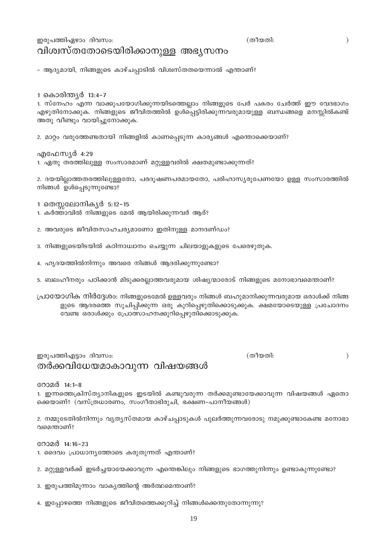## ഇരുപത്തിഏഴാം ദിവസം: വിശ്വസ്തതോടെയിരിക്കാനുള്ള അഭ്യസനം

– ആദ്യമായി, നിങ്ങളുടെ കാഴ്ചപ്പാടിൽ വിശ്വസ്തതയെന്നാൽ എന്താണ്?

1 കൊരിന്ത്യർ 13:4–7

1. സ്നേഹം എന്ന വാക്കുപയോഗിക്കുന്നയിടത്തെല്ലാം നിങ്ങളുടെ പേർ പകരം ചേർത്ത് ഈ വേദഭാഗം എഴുതിനോക്കുക. നിങ്ങളുടെ ജീവിതത്തിൽ ഉൾപ്പെട്ടിരിക്കുന്നവരുമായുള്ള ബന്ധങ്ങളെ മനസ്സിൽകണ്ട് അതു വീണ്ടും വായിച്ചുനോക്കുക.

(തീയതി:

(തീയതി:

2. മാറ്റം വരുത്തേണ്ടതായി നിങ്ങളിൽ കാണപ്പെടുന്ന കാര്യങ്ങൾ എന്തൊക്കെയാണ്?

എഫേസ്യർ 4:29 1. ഏതു തരത്തിലുള്ള സംസാരമാണ് മറ്റുള്ളവരിൽ ക്ഷതമുണ്ടാക്കുന്നത്?

2. ദയയില്ലാത്തതരത്തിലുള്ളതോ, പരദൂഷണപരമായതോ, പരിഹാസ്യരൂപേണയോ ഉള്ള സംസാരത്തിൽ നിങ്ങൾ ഉൾപ്പെടുന്നുണ്ടോ?

1 തെസ്സലോനികൃർ 5:12–15

- 1. കർത്താവിൽ നിങ്ങളുടെ മേൽ ആയിരിക്കുന്നവർ ആര്?
- 2. അവരുടെ ജീവിതസാഹചര്യമാണോ ഇതിനുള്ള മാനദണ്ഡം?
- 3. നിങ്ങളുടെയിടയിൽ കഠിനാധ്വാനം ചെയ്യുന്ന ചിലയാളുകളുടെ പേരെഴുതുക.
- 4. ഹൃദയത്തിൽനിന്നും അവരെ നിങ്ങൾ ആദരിക്കുന്നുണ്ടോ?
- 5. ബലഹീനരും പഠിക്കാൻ മിടുക്കരല്ലാത്തവരുമായ ശിഷ്യന്മാരോട് നിങ്ങളുടെ മനോഭാവമെന്താണ്?

പ്രായോഗിക നിർദ്ദേശം: നിങ്ങളുടെമേൽ ഉള്ളവരും നിങ്ങൾ ബഹുമാനിക്കുന്നവരുമായ ഒരാൾക്ക് നിങ്ങ ളുടെ ആദരത്തെ സൂചിപ്പിക്കുന്ന ഒരു കുറിപ്പെഴുതിക്കൊടുക്കുക. ക്ഷമയോടെയുള്ള പ്രചോദനം വേണ്ട ഒരാൾക്കും പ്രോത്സാഹനക്കുറിപ്പെഴുതിക്കൊടുക്കുക.

## ഇരുപത്തിഎട്ടാം ദിവസം: തർക്കവിധേയമാകാവുന്ന വിഷയങ്ങൾ

 $\mathcal{E}$ 

 $\mathcal{E}$ 

റോമർ 14:1–8

1. ഇന്നത്തെക്രിസ്ത്യാനികളുടെ ഇടയിൽ കണ്ടുവരുന്ന തർക്കമുണ്ടായേക്കാവുന്ന വിഷയങ്ങൾ ഏതൊ ക്കെയാണ്? (വസ്ത്രധാരണം, സംഗീതാഭിരൂചി, ഭക്ഷണ-പാനീയങ്ങൾ)

2. നമ്മുടേതിൽനിന്നും വ്യത്യസ്തമായ കാഴ്ചപ്പാടുകൾ പുലർത്തുന്നവരോടു നമുക്കുണ്ടാകേണ്ട മനോഭാ വമെന്താണ്?

റോമർ 14:16-23

- 1. ദൈവം പ്രാധാന്യത്തോടെ കരുതുന്നത് എന്താണ്?
- 2. മറ്റുള്ളവർക്ക് ഇടർച്ചയായേക്കാവുന്ന എന്തെങ്കിലും നിങ്ങളുടെ ഭാഗത്തുനിന്നും ഉണ്ടാകുന്നുണ്ടോ?
- 3. ഇരുപത്തിമൂന്നാം വാകൃത്തിന്റെ അർത്ഥമെന്താണ്?
- 4. ഇപ്പോഴത്തെ നിങ്ങളുടെ ജീവിതത്തെക്കുറിച്ച് നിങ്ങൾക്കെന്തുതോന്നുന്നു?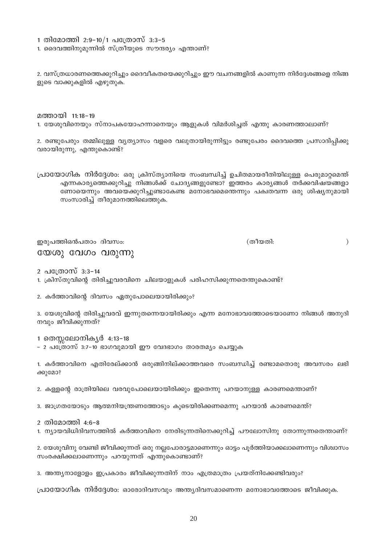1 തിമോത്തി 2:9-10/1 പത്രോസ് 3:3-5

1. ദൈവത്തിനുമുന്നിൽ സ്ത്രീയുടെ സൗന്ദര്യം എന്താണ്?

2. വസ്ത്രധാരണത്തെക്കുറിച്ചും ദൈവീകതയെക്കുറിച്ചും ഈ വചനങ്ങളിൽ കാണുന്ന നിർദ്ദേശങ്ങളെ നിങ്ങ ളുടെ വാക്കുകളിൽ എഴുതുക.

മത്തായി 11:18–19

1. യേശുവിനെയും സ്നാപകയോഹന്നാനെയും ആളുകൾ വിമർശിച്ചത് എന്തു കാരണത്താലാണ്?

2. രണ്ടുപേരും തമ്മിലുള്ള വ്യത്യാസം വളരെ വലുതായിരുന്നിട്ടും രണ്ടുപേരം ദൈവത്തെ പ്രസാദിപ്പിക്കു വരായിരുന്നു, എന്തുകൊണ്ട്?

പ്രായോഗിക നിർദ്ദേശം: ഒരു ക്രിസ്ത്യാനിയെ സംബന്ധിച്ച് ഉചിതമായരീതിയിലുള്ള പെരുമാറ്റമെന്ത് എന്നകാര്യത്തെക്കുറിച്ചു നിങ്ങൾക്ക് ചോദ്യങ്ങളുണ്ടോ? ഇത്തരം കാര്യങ്ങൾ തർക്കവിഷയങ്ങളാ ണോയെന്നും അവയെക്കുറിച്ചുണ്ടാകേണ്ട മനോഭവമെന്തെന്നും പക്വതവന്ന ഒരു ശിഷ്യനുമായി സംസാരിച്ച് തീരുമാനത്തിലെത്തുക.

ഇരുപത്തിഒൻപതാം ദിവസം: യേശു വേഗം വരുന്നു (തീയതി:

 $\mathcal{L}$ 

2 പത്രോസ് 3:3-14

1. ക്രിസ്തുവിന്റെ തിരിച്ചുവരവിനെ ചിലയാളുകൾ പരിഹസിക്കുന്നതെന്തുകൊണ്ട്?

2. കർത്താവിന്റെ ദിവസം ഏതുപോലെയായിരിക്കും?

3. യേശുവിന്റെ തിരിച്ചുവരവ് ഇന്നുതന്നെയായിരിക്കും എന്ന മനോഭാവത്തോടെയാണോ നിങ്ങൾ അനുദി നവും ജീവിക്കുന്നത്?

1 തെസ്സലോനികൃർ 4:13−18

– 2 പത്രോസ് 3:7-10 ഭാഗവുമായി ഈ വേദഭാഗം താരതമ്യം ചെയ്യുക

1. കർത്താവിനെ എതിരേല്ക്കാൻ ഒരുങ്ങിനില്ക്കാത്തവരെ സംബന്ധിച്ച് രണ്ടാമതൊരു അവസരം ലഭി ക്കുമോ?

2. കള്ളന്റെ രാത്രിയിലെ വരവുപോലെയായിരിക്കും ഇതെന്നു പറയാനുള്ള കാരണമെന്താണ്?

3. ജാഗ്രതയോടും ആത്മനിയന്ത്രണത്തോടും കുടെയിരിക്കണമെന്നു പറയാൻ കാരണമെന്ത്?

2 തിമോത്തി 4:6-8

1. ന്യായവിധിദിവസത്തിൽ കർത്താവിനെ നേരിടുന്നതിനെക്കുറിച്ച് പൗലോസിനു തോന്നുന്നതെന്താണ്?

2. യേശുവിനു വേണ്ടി ജീവിക്കുന്നത് ഒരു നല്ലപോരാട്ടമാണെന്നും ഓട്ടം പൂർത്തിയാക്കലാണെന്നും വിശ്വാസം സംരക്ഷിക്കലാണെന്നും പറയുന്നത് എന്തുകൊണ്ടാണ്?

3. അന്ത്യനാളോളം ഇപ്രകാരം ജീവിക്കുന്നതിന് നാം എത്രമാത്രം പ്രയത്നിക്കേണ്ടിവരും?

പ്രായോഗിക നിർദ്ദേശം: ഓരോദിവസവും അന്ത്യദിവസമാണെന്ന മനോഭാവത്തോടെ ജീവിക്കുക.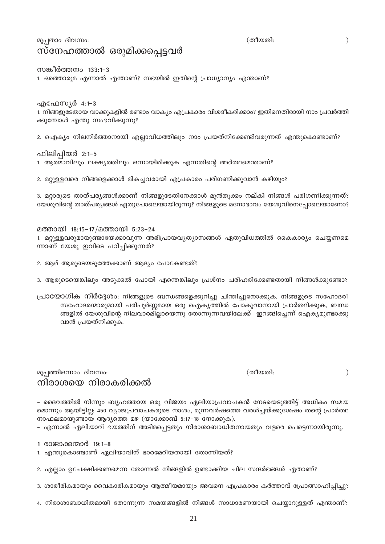## മുപ്പതാം ദിവസം: സ്നേഹത്താൽ ഒരുമിക്കപ്പെട്ടവർ

സങ്കീർത്തനം 133:1–3 1. ഒത്തൊരുമ എന്നാൽ എന്താണ്? സഭയിൽ ഇതിന്റെ പ്രാധ്യാന്യം എന്താണ്?

എഫേസൃർ 4:1–3 1. നിങ്ങളുടേതായ വാക്കുകളിൽ രണ്ടാം വാക്യം എപ്രകാരം വിശദീകരിക്കാം? ഇതിനെതിരായി നാം പ്രവർത്തി ക്കുമ്പോൾ എന്തു സംഭവിക്കുന്നു?

2. ഐക്യം നിലനിർത്താനായി എല്ലാവിധത്തിലും നാം പ്രയത്നിക്കേണ്ടിവരുന്നത് എന്തുകൊണ്ടാണ്?

ഫിലിപ്പിയർ 2:1-5 1. ആത്മാവിലും ലക്ഷ്യത്തിലും ഒന്നായിരിക്കുക എന്നതിന്റെ അർത്ഥമെന്താണ്?

2. മറ്റുള്ളവരെ നിങ്ങളെക്കാൾ മികച്ചവരായി എപ്രകാരം പരിഗണിക്കുവാൻ കഴിയും?

3. മറ്റാരുടെ താത്പര്യങ്ങൾക്കാണ് നിങ്ങളുടേതിനേക്കാൾ മുൻതൂക്കം നല്കി നിങ്ങൾ പരിഗണിക്കുന്നത്? യേശുവിന്റെ താത്പര്യങ്ങൾ ഏതുപോലെയായിരുന്നു? നിങ്ങളുടെ മനോഭാവം യേശുവിനെപ്പോലെയാണോ?

മത്തായി 18:15-17/മത്തായി 5:23-24 1. മറ്റുള്ളവരുമായുണ്ടായേക്കാവുന്ന അഭിപ്രായവൃത്യാസങ്ങൾ ഏതുവിധത്തിൽ കൈകാര്യം ചെയ്യണമെ ന്നാണ് യേശു ഇവിടെ പഠിപ്പിക്കുന്നത്?

2. ആര് ആരുടെയടുത്തേക്കാണ് ആദ്യം പോകേണ്ടത്?

3. ആരുടെയെങ്കിലും അടുക്കൽ പോയി എന്തെങ്കിലും പ്രശ്നം പരിഹരിക്കേണ്ടതായി നിങ്ങൾക്കുണ്ടോ?

പ്രായോഗിക നിർദ്ദേശം: നിങ്ങളുടെ ബന്ധങ്ങളെക്കുറിച്ചു ചിന്തിച്ചുനോക്കുക. നിങ്ങളുടെ സഹോദരീ സഹോദരന്മാരുമായി പരിപൂർണ്ണമായ ഒരു ഐക്യത്തിൽ പോകുവാനായി പ്രാർത്ഥിക്കുക, ബന്ധ ങ്ങളിൽ യേശുവിന്റെ നിലവാരമില്ലായെന്നു തോന്നുന്നവയിലേക്ക് ഇറങ്ങിച്ചെന്ന് ഐക്യമുണ്ടാക്കു വാൻ പ്രയത്നിക്കുക.

മുപ്പത്തിഒന്നാം ദിവസം: നിരാശയെ നിരാകരിക്കൽ

– ദൈവത്തിൽ നിന്നും ബൃഹത്തായ ഒരു വിജയം ഏലിയാപ്രവാചകൻ നേടയെടുത്തിട്ട് അധികം സമയ മൊന്നും ആയിട്ടില്ല: 450 വ്യാജപ്രവാചകരുടെ നാശം, മൂന്നവർഷത്തെ വരൾച്ചയ്ക്കുശേഷം തന്റെ പ്രാർത്ഥ നാഫലമായുണ്ടായ ആദ്യത്തെ മഴ (യാക്കോബ് 5:17-18 നോക്കുക).

– എന്നാൽ ഏലിയാവ് ഭയത്തിന് അടിമപ്പെട്ടതും നിരാശാബാധിതനായതും വളരെ പെട്ടെന്നായിരുന്നു.

1 രാജാക്കന്മാർ 19:1–8

1. എന്തുകൊണ്ടാണ് ഏലിയാവിന് ഭാരമേറിയതായി തോന്നിയത്?

2. എല്ലാം ഉപേക്ഷിക്കണമെന്ന തോന്നൽ നിങ്ങളിൽ ഉണ്ടാക്കിയ ചില സന്ദർഭങ്ങൾ ഏതാണ്?

3. ശാരീരികമായും വൈകാരികമായും ആത്മീയമായും അവനെ എപ്രകാരം കർത്താവ് പ്രോത്സാഹിപ്പിച്ചു?

4. നിരാശാബാധിതമായി തോന്നുന്ന സമയങ്ങളിൽ നിങ്ങൾ സാധാരണയായി ചെയ്യാറുള്ളത് എന്താണ്?

(തീയതി:

(തീയതി:

 $\mathcal{L}$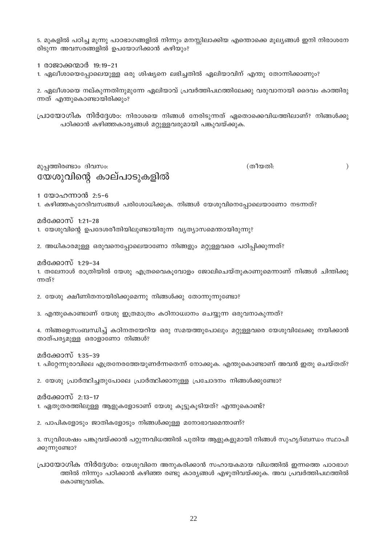5. മുകളിൽ പഠിച്ച മൂന്നു പാഠഭാഗങ്ങളിൽ നിന്നും മനസ്സിലാക്കിയ എന്തൊക്കെ മൂല്യങ്ങൾ ഇനി നിരാശനേ രിടുന്ന അവസരങ്ങളിൽ ഉപയോഗിക്കാൻ കഴിയും?

1 രാജാക്കന്മാർ 19:19-21

1. ഏലീശായെപ്പോലെയുള്ള ഒരു ശിഷ്യനെ ലഭിച്ചതിൽ ഏലിയാവിന് എന്തു തോന്നിക്കാണും?

2. ഏലീശായെ നല്കുന്നതിനുമുന്നേ ഏലിയാവ് പ്രവർത്തിപഥത്തിലേക്കു വരുവാനായി ദൈവം കാത്തിരു ന്നത് എന്തുകൊണ്ടായിരിക്കും?

പ്രായോഗിക നിർദ്ദേശം: നിരാശയെ നിങ്ങൾ നേരിടുന്നത് ഏതൊക്കെവിധത്തിലാണ്? നിങ്ങൾക്കു പഠിക്കാൻ കഴിഞ്ഞകാര്യങ്ങൾ മറ്റുള്ളവരുമായി പങ്കുവയ്ക്കുക.

മുപ്പത്തിരണ്ടാം ദിവസം: യേശുവിന്റെ കാല്പാടുകളിൽ (തീയതി:

 $\mathcal{E}$ 

1 യോഹന്നാൻ 2:5-6

1. കഴിഞ്ഞകുറേദിവസങ്ങൾ പരിശോധിക്കുക. നിങ്ങൾ യേശുവിനെപ്പോലെയാണോ നടന്നത്?

മർക്കോസ് 1:21–28

1. യേശുവിന്റെ ഉപദേശരീതിയിലുണ്ടായിരുന്ന വ്യത്യാസമെന്തായിരുന്നു?

2. അധികാരമുള്ള ഒരുവനെപ്പോലെയാണോ നിങ്ങളും മറ്റുള്ളവരെ പഠിപ്പിക്കുന്നത്?

മർക്കോസ് 1:29–34

1. തലേനാൾ രാത്രിയിൽ യേശു എത്രവൈകുവോളം ജോലിചെയ്തുകാണുമെന്നാണ് നിങ്ങൾ ചിന്തിക്കു ന്നത്?

2. യേശു ക്ഷീണിതനായിരിക്കുമെന്നു നിങ്ങൾക്കു തോന്നുന്നുണ്ടോ?

3. എന്തുകൊണ്ടാണ് യേശു ഇത്രമാത്രം കഠിനാധ്വാനം ചെയ്യുന്ന ഒരുവനാകുന്നത്?

4. നിങ്ങളെസംബന്ധിച്ച് കഠിനതയേറിയ ഒരു സമയത്തുപോലും മറ്റുള്ളവരെ യേശുവിലേക്കു നയിക്കാൻ താത്പര്യമുള്ള ഒരാളാണോ നിങ്ങൾ?

മർക്കോസ് 1:35–39 1. പിറ്റേന്നുരാവിലെ എത്രനേരത്തേയുണർന്നതെന്ന് നോക്കുക. എന്തുകൊണ്ടാണ് അവൻ ഇതു ചെയ്തത്?

2. യേശു പ്രാർത്ഥിച്ചതുപോലെ പ്രാർത്ഥിക്കാനുള്ള പ്രചോദനം നിങ്ങൾക്കുണ്ടോ?

മർക്കോസ് 2:13–17 1. ഏതുതരത്തിലുള്ള ആളുകളോടാണ് യേശു കൂട്ടുകൂടിയത്? എന്തുകൊണ്ട്?

2. പാപികളോടും ജാതികളോടും നിങ്ങൾക്കുള്ള മനോഭാവമെന്താണ്?

3. സുവിശേഷം പങ്കുവയ്ക്കാൻ പറ്റുന്നവിധത്തിൽ പുതിയ ആളുകളുമായി നിങ്ങൾ സുഹൃദ്ബന്ധം സ്ഥാപി ക്കുന്നുണ്ടോ?

പ്രായോഗിക നിർദ്ദേശം: യേശുവിനെ അനുകരിക്കാൻ സഹായകമായ വിധത്തിൽ ഇന്നത്തെ പാഠഭാഗ ത്തിൽ നിന്നും പഠിക്കാൻ കഴിഞ്ഞ രണ്ടു കാര്യങ്ങൾ എഴുതിവയ്ക്കുക. അവ പ്രവർത്തിപഥത്തിൽ കൊണ്ടുവരിക.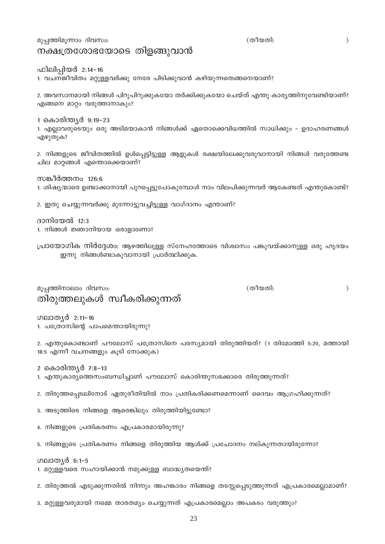മുപ്പത്തിമൂന്നാം ദിവസം:

## നക്ഷത്രശോഭയോടെ തിളങ്ങുവാൻ

ഫിലിപ്പിയർ 2:14-16

1. വചനജീവിതം മറ്റുള്ളവർക്കു നേരേ പിടിക്കുവാൻ കഴിയുന്നതെങ്ങനെയാണ്?

2. അവസാനമായി നിങ്ങൾ പിറുപിറുക്കുകയോ തർക്കിക്കുകയോ ചെയ്ത് എന്തു കാരൃത്തിനുവേണ്ടിയാണ്? എങ്ങനെ മാറ്റം വരുത്താനാകും?

1 കൊരിന്ത്യർ 9:19–23

1. എല്ലാവരുടെയും ഒരു അടിമയാകാൻ നിങ്ങൾക്ക് ഏതൊക്കെവിധത്തിൽ സാധിക്കും – ഉദാഹരണങ്ങൾ എഴുതുക?

2. നിങ്ങളുടെ ജീവിതത്തിൽ ഉൾപ്പെട്ടിട്ടുള്ള ആളുകൾ രക്ഷയിലേക്കുവരുവാനായി നിങ്ങൾ വരുത്തേണ്ട ചില മാറ്റങ്ങൾ എന്തൊക്കെയാണ്?

സങ്കീർത്തനം 126:6 1. ശിഷ്യന്മാരെ ഉണ്ടാക്കാനായി പുറപ്പെട്ടുപോകുമ്പോൾ നാം വിലപിക്കുന്നവർ ആകേണ്ടത് എന്തുകൊണ്ട്?

2. ഇതു ചെയ്യുന്നവർക്കു മുന്നോട്ടുവച്ചിട്ടുള്ള വാഗ്ദാനം എന്താണ്?

ദാനിയേൽ 12:3 1. നിങ്ങൾ ജ്ഞാനിയായ ഒരാളാണോ?

പ്രായോഗിക നിർദ്ദേശം: ആഴത്തിലുള്ള സ്നേഹത്തോടെ വിശ്വാസം പങ്കുവയ്ക്കാനുള്ള ഒരു ഹൃദയം ഇന്നു നിങ്ങൾണ്ടാകുവാനായി പ്രാർത്ഥിക്കുക.

മുപ്പത്തിനാലാം ദിവസം: തിരുത്തലുകൾ സ്വീകരിക്കുന്നത് (തീയതി:

(തീയതി:

 $\lambda$ 

ഗലാതൃർ 2:11-16 1. പത്രോസിന്റെ പാപമെന്തായിരുന്നു?

2. എന്തുകൊണ്ടാണ് പൗലോസ് പത്രോസിനെ പരസ്യമായി തിരുത്തിയത്? (1 തിമോത്തി 5:20, മത്തായി 18:5 എന്നീ വചനങ്ങളും കൂടി നോക്കുക)

2 കൊരിന്ത്യർ 7:8-13

- 1. എന്തുകാര്യത്തെസംബന്ധിച്ചാണ് പൗലോസ് കൊരിന്തുസഭക്കാരെ തിരുത്തുന്നത്?
- 2. തിരുത്തപ്പെടലിനോട് ഏതുരീതിയിൽ നാം പ്രതികരിക്കണമെന്നാണ് ദൈവം ആഗ്രഹിക്കുന്നത്?

3. അടുത്തിടെ നിങ്ങളെ ആരെങ്കിലും തിരുത്തിയിട്ടുണ്ടോ?

4. നിങ്ങളുടെ പ്രതികരണം എപ്രകാരമായിരുന്നു?

5. നിങ്ങളുടെ പ്രതികരണം നിങ്ങളെ തിരുത്തിയ ആൾക്ക് പ്രചോദനം നല്കുന്നതായിരുന്നോ?

ഗലാതൃർ 6:1-5

1. മറ്റുള്ളവരെ സഹായിക്കാൻ നമുക്കുള്ള ബാദ്ധ്യതയെന്ത്?

2. തിരുത്തൽ എടുക്കുന്നതിൽ നിന്നും അഹങ്കാരം നിങ്ങളെ തടസ്സപ്പെടുത്തുന്നത് എപ്രകാരമെല്ലാമാണ്?

3. മറ്റുള്ളവരുമായി നമ്മെ താരതമ്യം ചെയ്യുന്നത് എപ്രകാരമെല്ലാം അപകടം വരുത്തും?

 $\lambda$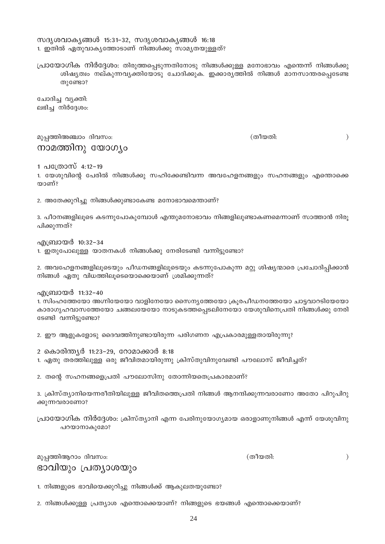സദൃശവാകൃങ്ങൾ 15:31-32, സദൃശവാകൃങ്ങൾ 16:18 1. ഇതിൽ ഏതുവാകൃത്തോടാണ് നിങ്ങൾക്കു സാമൃതയുള്ളത്?

പ്രായോഗിക നിർദ്ദേശം: തിരുത്തപ്പെടുന്നതിനോടു നിങ്ങൾക്കുള്ള മനോഭാവം എന്തെന്ന് നിങ്ങൾക്കു ശിഷ്യത്വം നല്കുന്നവൃക്തിയോടു ചോദിക്കുക. ഇക്കാര്യത്തിൽ നിങ്ങൾ മാനസാന്തരപ്പെടേണ്ട തുണ്ടോ?

ചോദിച്ച വ്യക്തി: ലഭിച്ച നിർദ്ദേശം:

മുപ്പത്തിഅഞ്ചാം ദിവസം:

നാമത്തിനു യോഗ്യം

(തീയതി:

 $\mathcal{E}$ 

 $\mathcal{E}$ 

1 പത്രോസ് 4:12–19

1. യേശുവിന്റെ പേരിൽ നിങ്ങൾക്കു സഹിക്കേണ്ടിവന്ന അവഹേളനങ്ങളും സഹനങ്ങളും എന്തൊക്കെ താണ്?

2. അതേക്കുറിച്ചു നിങ്ങൾക്കുണ്ടാകേണ്ട മനോഭാവമെന്താണ്?

3. പീഠനങ്ങളിലൂടെ കടന്നുപോകുമ്പോൾ എന്തുമനോഭാവം നിങ്ങളിലുണ്ടാകണമെന്നാണ് സാത്താൻ നിരൂ പിക്കുന്നത്?

എബ്രായർ 10:32–34

1. ഇതുപോലുള്ള യാതനകൾ നിങ്ങൾക്കു നേരിടേണ്ടി വന്നിട്ടുണ്ടോ?

2. അവഹേളനങ്ങളിലൂടെയും പീഡനങ്ങളിലൂടെയും കടന്നുപോകുന്ന മറ്റു ശിഷ്യന്മാരെ പ്രചോദിപ്പിക്കാൻ നിങ്ങൾ ഏതു വിധത്തിലൂടെയൊക്കെയാണ് ശ്രമിക്കുന്നത്?

എബ്രായർ 11:32-40

1. സിംഹത്തേയോ അഗ്നിയേയോ വാളിനേയോ സൈന്യത്തേയോ ക്രൂരപീഡനത്തേയോ ചാട്ടവാറടിയേയോ കാരാഗൃഹവാസത്തേയോ ചങ്ങലയേയോ നാടുകടത്തപ്പെടലിനേയോ യേശുവിനെപ്രതി നിങ്ങൾക്കു നേരി ടേണ്ടി വന്നിട്ടുണ്ടോ?

2. ഈ ആളുകളോടു ദൈവത്തിനുണ്ടായിരുന്ന പരിഗണന എപ്രകാരമുള്ളതായിരുന്നു?

- 2 കൊരിന്ത്യർ 11:23-29, റോമാക്കാർ 8:18
- 1. ഏതു തരത്തിലുള്ള ഒരു ജീവിതമായിരുന്നു ക്രിസ്തുവിനുവേണ്ടി പൗലോസ് ജീവിച്ചത്?

2. തന്റെ സഹനങ്ങളെപ്രതി പൗലോസിനു തോന്നിയതെപ്രകാരമാണ്?

3. ക്രിസ്ത്യാനിയെന്നരീതിയിലുള്ള ജീവിതത്തെപ്രതി നിങ്ങൾ ആനന്ദിക്കുന്നവരാണോ അതോ പിറുപിറു ക്കുന്നവരാണോ?

പ്രായോഗിക നിർദ്ദേശം: ക്രിസ്ത്യാനി എന്ന പേരിനുയോഗ്യമായ ഒരാളാണുനിങ്ങൾ എന്ന് യേശുവിനു പറയാനാകുമോ?

(തീയതി:

മുപ്പത്തിആറാം ദിവസം: ഭാവിയും പ്രത്യാശയും

1. നിങ്ങളുടെ ഭാവിയെക്കുറിച്ചു നിങ്ങൾക്ക് ആകുലതയുണ്ടോ?

2. നിങ്ങൾക്കുള്ള പ്രത്യാശ എന്തൊക്കെയാണ്? നിങ്ങളുടെ ഭയങ്ങൾ എന്തൊക്കെയാണ്?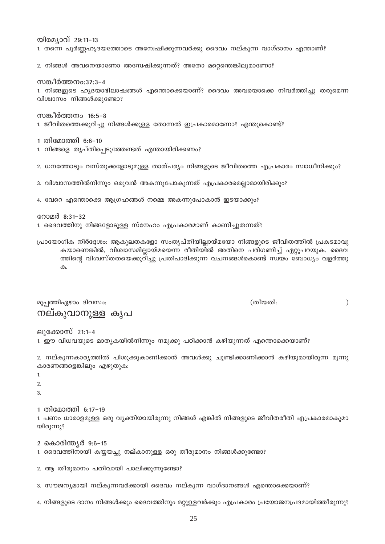4. നിങ്ങളുടെ ദാനം നിങ്ങൾക്കും ദൈവത്തിനും മറ്റുള്ളവർക്കും എപ്രകാരം പ്രയോജനപ്രദമായിത്തീരുന്നു?

2 കൊരിന്ത്യർ 9:6–15

1. ദൈവത്തിനായി കയ്യയച്ചു നല്കാനുള്ള ഒരു തീരുമാനം നിങ്ങൾക്കുണ്ടോ?

2. ആ തീരുമാനം പതിവായി പാലിക്കുന്നുണ്ടോ?

3. സൗജന്യമായി നല്കുന്നവർക്കായി ദൈവം നല്കുന്ന വാഗ്ദാനങ്ങൾ എന്തൊക്കെയാണ്?

കാരണങ്ങളെങ്കിലും എഴുതുക:  $\mathbf{1}$  $\overline{2}$ 

1. പണം ധാരാളമുള്ള ഒരു വ്യക്തിയായിരുന്നു നിങ്ങൾ എങ്കിൽ നിങ്ങളുടെ ജീവിതരീതി എപ്രകാരമാകുമാ

2. നല്കുന്നകാര്യത്തിൽ പിശുക്കുകാണിക്കാൻ അവൾക്കു ചുണ്ടിക്കാണിക്കാൻ കഴിയുമായിരുന്ന മുന്നു

1. ഈ വിധവയുടെ മാതൃകയിൽനിന്നും നമുക്കു പഠിക്കാൻ കഴിയുന്നത് എന്തൊക്കെയാണ്?

ലൂക്കോസ് 21:1–4

മുപ്പത്തിഏഴാം ദിവസം: (തീയതി:

പ്രായോഗിക നിർദ്ദേശം: ആകുലതകളോ സംതൃപ്തിയില്ലായ്മയോ നിങ്ങളുടെ ജീവിതത്തിൽ പ്രകടമാവു കയാണെങ്കിൽ, വിശ്വാസമില്ലായ്മയെന്ന രീതിയിൽ അതിനെ പരിഗണിച്ച് ഏറ്റുപറയുക. ദൈവ ത്തിന്റെ വിശ്വസ്തതയെക്കുറിച്ചു പ്രതിപാദിക്കുന്ന വചനങ്ങൾകൊണ്ട് സ്വയം ബോധ്യം വളർത്തു

4. വേറെ എന്തൊക്കെ ആഗ്രഹങ്ങൾ നമ്മെ അകന്നുപോകാൻ ഇടയാക്കും?

1. ദൈവത്തിനു നിങ്ങളോടുള്ള സ്നേഹം എപ്രകാരമാണ് കാണിച്ചുതന്നത്?

# 2. ധനത്തോടും വസ്തുക്കളോടുമുള്ള താത്പര്യം നിങ്ങളുടെ ജീവിതത്തെ എപ്രകാരം സ്വാധീനിക്കും?

```
1 തിമോത്തി 6:6-10
1. നിങ്ങളെ തൃപ്തിപ്പെടുത്തേണ്ടത് എന്തായിരിക്കണം?
```

```
1. ജീവിതത്തെക്കുറിച്ചു നിങ്ങൾക്കുള്ള തോന്നൽ ഇപ്രകാരമാണോ? എന്തുകൊണ്ട്?
```
3. വിശ്വാസത്തിൽനിന്നും ഒരുവൻ അകന്നുപോകുന്നത് എപ്രകാരമെല്ലാമായിരിക്കും?

റോമർ 8:31-32

 $\uparrow$ 

 $\overline{A}$ 

യിരുന്നു?

നല്കുവാനുള്ള കൃപ

1 തിമോത്തി 6:17-19

```
സങ്കീർത്തനം 16:5–8
```
വിശ്വാസം നിങ്ങൾക്കുണ്ടോ?

സങ്കീർത്തനം:37:3-4 1. നിങ്ങളുടെ ഹൃദയാഭിലാഷങ്ങൾ എന്തൊക്കെയാണ്? ദൈവം അവയൊക്കെ നിവർത്തിച്ചു തരുമെന്ന

2. നിങ്ങൾ അവനെയാണോ അന്വേഷിക്കുന്നത്? അതോ മറ്റെന്തെങ്കിലുമാണോ?

1. തന്നെ പൂർണ്ണഹൃദയത്തോടെ അന്വേഷിക്കുന്നവർക്കു ദൈവം നല്കുന്ന വാഗ്ദാനം എന്താണ്?

യിരമ്പാവ് 29:11-13

 $\lambda$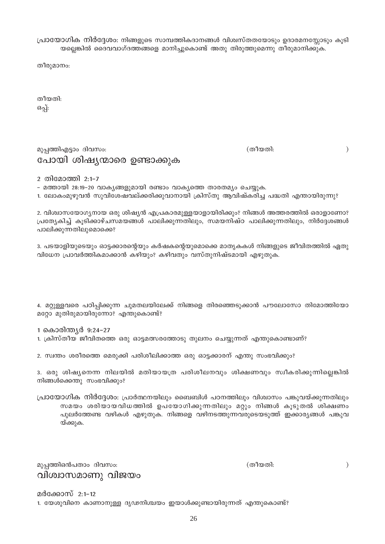വിശ്വാസമാണു വിജയം

മർക്കോസ് 2:1–12

നിങ്ങൾക്കെന്തു സംഭവിക്കും?

മുപ്പത്തിഒൻപതാം ദിവസം:

പ്രായോഗിക നിർദ്ദേശം: പ്രാർത്ഥനയിലും ബൈബിൾ പഠനത്തിലും വിശ്വാസം പങ്കുവയ്ക്കുന്നതിലും സമയം ശരിയായവിധത്തിൽ ഉപയോഗിക്കുന്നതിലും മറ്റും നിങ്ങൾ കൂടുതൽ ശിക്ഷണം പുലർത്തേണ്ട വഴികൾ എഴുതുക. നിങ്ങളെ വഴിനടത്തുന്നവരുടെയടുത്ത് ഇക്കാര്യങ്ങൾ പങ്കുവ യ്ക്കുക.

3. ഒരു ശിഷ്യനെന്ന നിലയിൽ മതിയായത്ര പരിശീലനവും ശിക്ഷണവും സ്വീകരിക്കുന്നില്ലെങ്കിൽ

1 കൊരിന്ത്യർ 9:24–27 1. ക്രിസ്തീയ ജീവിതത്തെ ഒരു ഓട്ടമത്സരത്തോടു തുലനം ചെയ്യുന്നത് എന്തുകൊണ്ടാണ്?

4. മറ്റുള്ളവരെ പഠിപ്പിക്കുന്ന ചുമതലയിലേക്ക് നിങ്ങളെ തിരഞ്ഞെടുക്കാൻ പൗലോസോ തിമോത്തിയോ മറ്റോ മുതിരുമായിരുന്നോ? എന്തുകൊണ്ട്?

2. സ്വന്തം ശരീരത്തെ മെരുക്കി പരിശീലിക്കാത്ത ഒരു ഓട്ടക്കാരന് എന്തു സംഭവിക്കും?

വിധേന പ്രാവർത്തികമാക്കാൻ കഴിയും? കഴിവതും വസ്തുനിഷ്ടമായി എഴുതുക.

പാലിക്കുന്നതിലുമൊക്കെ? 3. പടയാളിയുടെയും ഓട്ടക്കാരന്റെയും കർഷകന്റെയുമൊക്കെ മാതൃകകൾ നിങ്ങളുടെ ജീവിതത്തിൽ ഏതു

2. വിശ്വാസയോഗ്യനായ ഒരു ശിഷ്യൻ എപ്രകാരമുള്ളയാളായിരിക്കും? നിങ്ങൾ അത്തരത്തിൽ ഒരാളാണോ? പ്രത്യേകിച്ച് കൂടിക്കാഴ്ചസമയങ്ങൾ പാലിക്കുന്നതിലും, സമയനിഷ്ഠ പാലിക്കുന്നതിലും, നിർദ്ദേശങ്ങൾ

- മത്തായി 28:19-20 വാകൃങ്ങളുമായി രണ്ടാം വാകൃത്തെ താരതമ്യം ചെയ്യുക. 1. ലോകംമുഴുവൻ സുവിശേഷവല്ക്കരിക്കുവാനായി ക്രിസ്തു ആവിഷ്കരിച്ച പദ്ധതി എന്തായിരുന്നു?

മുപ്പത്തിഎട്ടാം ദിവസം:

പോയി ശിഷ്യന്മാരെ ഉണ്ടാക്കുക

പ്രായോഗിക നിർദ്ദേശം: നിങ്ങളുടെ സാമ്പത്തികദാനങ്ങൾ വിശ്വസ്തതയോടും ഉദാരമനസ്ലോടും കൂടി യല്ലെങ്കിൽ ദൈവവാഗ്ദത്തങ്ങളെ മാനിച്ചുകൊണ്ട് അതു തിരുത്തുമെന്നു തീരുമാനിക്കുക.

തീരുമാനം:

തീയതി: ഒപ്പ്:

2 തിമോത്തി 2:1-7

(തീയതി:

 $\big)$ 

(തീയതി:

 $\mathcal{E}$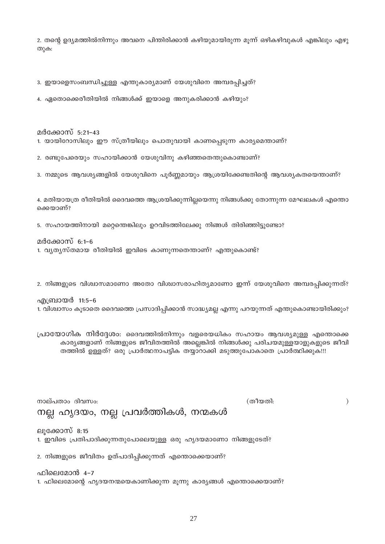2. തന്റെ ഉദ്യമത്തിൽനിന്നും അവനെ പിന്തിരിക്കാൻ കഴിയുമായിരുന്ന മൂന്ന് ഒഴികഴിവുകൾ എങ്കിലും എഴു തുക:

3. ഇയാളെസംബന്ധിച്ചുള്ള എന്തുകാര്യമാണ് യേശുവിനെ അമ്പരപ്പിച്ചത്?

4. ഏതൊക്കെരീതിയിൽ നിങ്ങൾക്ക് ഇയാളെ അനുകരിക്കാൻ കഴിയും?

മർക്കോസ് 5:21–43

1. യായിറോസിലും ഈ സ്ത്രീയിലും പൊതുവായി കാണപെടുന്ന കാര്യമെന്താണ്?

2. രണ്ടുപേരെയും സഹായിക്കാൻ യേശുവിനു കഴിഞ്ഞതെന്തുകൊണ്ടാണ്?

3. നമ്മുടെ ആവശ്യങ്ങളിൽ യേശുവിനെ പൂർണ്ണമായും ആശ്രയിക്കേണ്ടതിന്റെ ആവശ്യകതയെന്താണ്?

4. മതിയായത്ര രീതിയിൽ ദൈവത്തെ ആശ്രയിക്കുന്നില്ലയെന്നു നിങ്ങൾക്കു തോന്നുന്ന മേഘലകൾ എന്തൊ ക്കെയാണ്?

5. സഹായത്തിനായി മറ്റെന്തെങ്കിലും ഉറവിടത്തിലേക്കു നിങ്ങൾ തിരിഞ്ഞിട്ടുണ്ടോ?

#### മർക്കോസ് 6:1–6

1. വ്യത്യസ്തമായ രീതിയിൽ ഇവിടെ കാണുന്നതെന്താണ്? എന്തുകൊണ്ട്?

2. നിങ്ങളുടെ വിശ്വാസമാണോ അതോ വിശ്വാസരാഹിത്യമാണോ ഇന്ന് യേശുവിനെ അമ്പരപ്പിക്കുന്നത്?

എബ്രായർ 11:5–6 1. വിശ്വാസം കൂടാതെ ദൈവത്തെ പ്രസാദിപ്പിക്കാൻ സാദ്ധ്യമല്ല എന്നു പറയുന്നത് എന്തുകൊണ്ടായിരിക്കും?

പ്രായോഗിക നിർദ്ദേശം: ദൈവത്തിൽനിന്നും വളരെയധികം സഹായം ആവശ്യമുള്ള എന്തൊക്കെ കാര്യങ്ങളാണ് നിങ്ങളുടെ ജീവിതത്തിൽ അല്ലെങ്കിൽ നിങ്ങൾക്കു പരിചയമുള്ളയാളുകളുടെ ജീവി തത്തിൽ ഉള്ളത്? ഒരു പ്രാർത്ഥനാപട്ടിക തയ്യാറാക്കി മടുത്തുപോകാതെ പ്രാർത്ഥിക്കുക!!!

നാല്പതാം ദിവസം:

(തീയതി:

 $\mathcal{L}$ 

ല്ലാക്കോസ് 8:15

1. ഇവിടെ പ്രതിപാദിക്കുന്നതുപോലെയുള്ള ഒരു ഹൃദയമാണോ നിങ്ങളുടേത്?

2. നിങ്ങളുടെ ജീവിതം ഉത്പാദിപ്പിക്കുന്നത് എന്തൊക്കെയാണ്?

നല്ല ഹൃദയം, നല്ല പ്രവർത്തികൾ, നന്മകൾ

ഫിലെമോൻ 4–7 1. ഫിലെമോന്റെ ഹൃദയനന്മയെകാണിക്കുന്ന മൂന്നു കാര്യങ്ങൾ എന്തൊക്കെയാണ്?